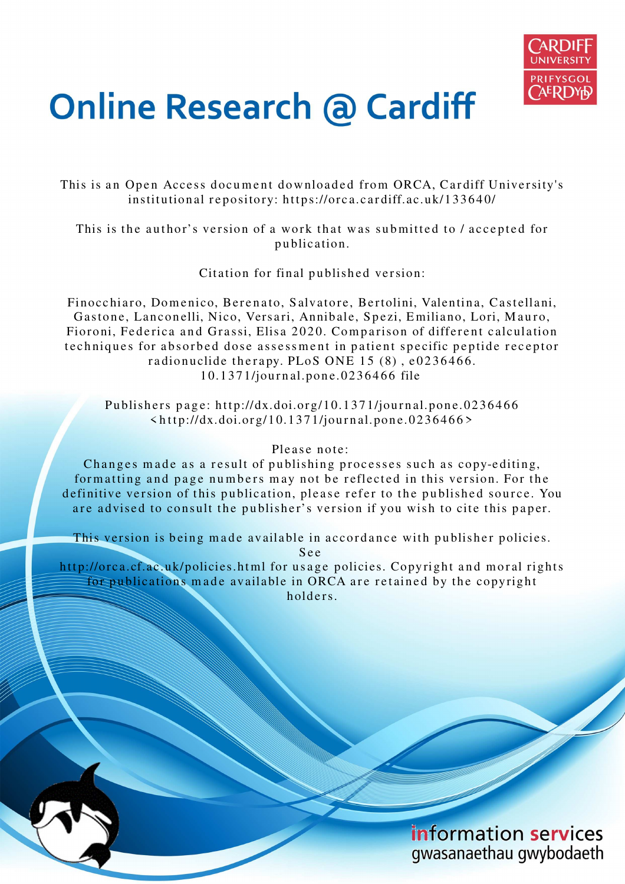

# **Online Research @ Cardiff**

This is an Open Access document downloaded from ORCA, Cardiff University's institutional repository: https://orca.cardiff.ac.uk/133640/

This is the author's version of a work that was submitted to / accepted for p u blication.

Citation for final published version:

Finocchiaro, Domenico, Berenato, Salvatore, Bertolini, Valentina, Castellani, Gastone, Lanconelli, Nico, Versari, Annibale, Spezi, Emiliano, Lori, Mauro, Fioroni, Federica and Grassi, Elisa 2020. Comparison of different calculation techniques for absorbed dose assessment in patient specific peptide receptor radionuclide therapy. PLoS ONE  $15(8)$ , e0236466. 10.1371/journal.pone.0236466 file

Publishers page: http://dx.doi.org/10.1371/journal.pone.0236466  $\langle \text{http://dx.doi.org/10.1371/journal.pone.0236466>}$ 

#### Please note:

Changes made as a result of publishing processes such as copy-editing, formatting and page numbers may not be reflected in this version. For the definitive version of this publication, please refer to the published source. You are advised to consult the publisher's version if you wish to cite this paper.

This version is being made available in accordance with publisher policies. S e e

http://orca.cf.ac.uk/policies.html for usage policies. Copyright and moral rights for publications made available in ORCA are retained by the copyright holders.

> information services gwasanaethau gwybodaeth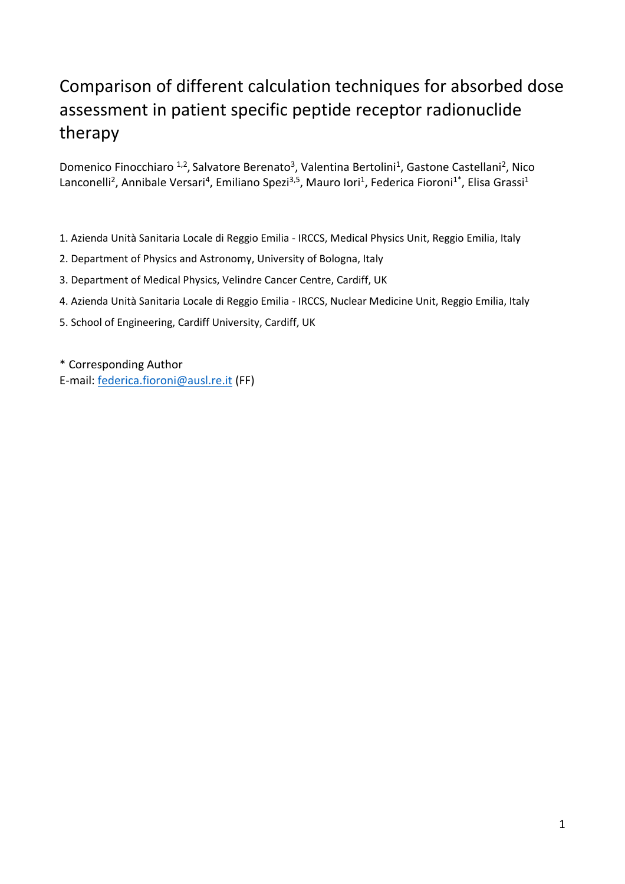# Comparison of different calculation techniques for absorbed dose assessment in patient specific peptide receptor radionuclide therapy

Domenico Finocchiaro <sup>1,2</sup>, Salvatore Berenato<sup>3</sup>, Valentina Bertolini<sup>1</sup>, Gastone Castellani<sup>2</sup>, Nico Lanconelli<sup>2</sup>, Annibale Versari<sup>4</sup>, Emiliano Spezi<sup>3,5</sup>, Mauro Iori<sup>1</sup>, Federica Fioroni<sup>1\*</sup>, Elisa Grassi<sup>1</sup>

- 1. Azienda Unità Sanitaria Locale di Reggio Emilia IRCCS, Medical Physics Unit, Reggio Emilia, Italy
- 2. Department of Physics and Astronomy, University of Bologna, Italy
- 3. Department of Medical Physics, Velindre Cancer Centre, Cardiff, UK
- 4. Azienda Unità Sanitaria Locale di Reggio Emilia IRCCS, Nuclear Medicine Unit, Reggio Emilia, Italy
- 5. School of Engineering, Cardiff University, Cardiff, UK

\* Corresponding Author E-mail: [federica.fioroni@ausl.re.it](mailto:federica.fioroni@ausl.re.it) (FF)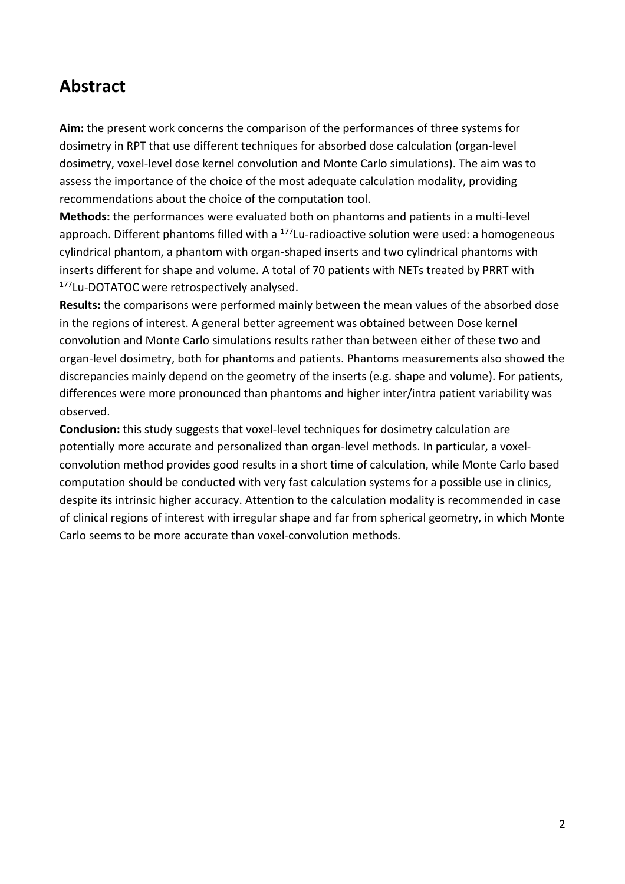# **Abstract**

**Aim:** the present work concerns the comparison of the performances of three systems for dosimetry in RPT that use different techniques for absorbed dose calculation (organ-level dosimetry, voxel-level dose kernel convolution and Monte Carlo simulations). The aim was to assess the importance of the choice of the most adequate calculation modality, providing recommendations about the choice of the computation tool.

**Methods:** the performances were evaluated both on phantoms and patients in a multi-level approach. Different phantoms filled with a <sup>177</sup>Lu-radioactive solution were used: a homogeneous cylindrical phantom, a phantom with organ-shaped inserts and two cylindrical phantoms with inserts different for shape and volume. A total of 70 patients with NETs treated by PRRT with 177Lu-DOTATOC were retrospectively analysed.

**Results:** the comparisons were performed mainly between the mean values of the absorbed dose in the regions of interest. A general better agreement was obtained between Dose kernel convolution and Monte Carlo simulations results rather than between either of these two and organ-level dosimetry, both for phantoms and patients. Phantoms measurements also showed the discrepancies mainly depend on the geometry of the inserts (e.g. shape and volume). For patients, differences were more pronounced than phantoms and higher inter/intra patient variability was observed.

**Conclusion:** this study suggests that voxel-level techniques for dosimetry calculation are potentially more accurate and personalized than organ-level methods. In particular, a voxelconvolution method provides good results in a short time of calculation, while Monte Carlo based computation should be conducted with very fast calculation systems for a possible use in clinics, despite its intrinsic higher accuracy. Attention to the calculation modality is recommended in case of clinical regions of interest with irregular shape and far from spherical geometry, in which Monte Carlo seems to be more accurate than voxel-convolution methods.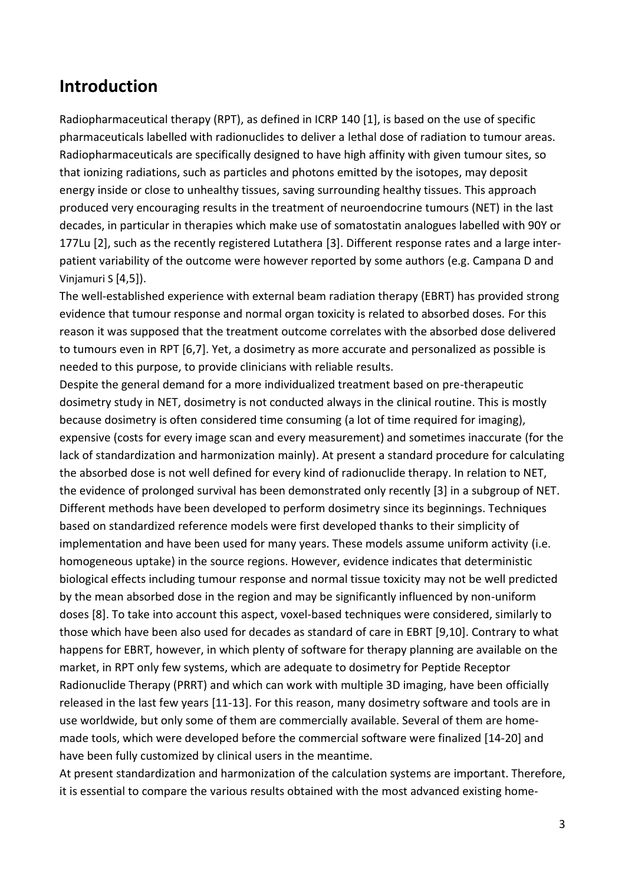# **Introduction**

Radiopharmaceutical therapy (RPT), as defined in ICRP 140 [1], is based on the use of specific pharmaceuticals labelled with radionuclides to deliver a lethal dose of radiation to tumour areas. Radiopharmaceuticals are specifically designed to have high affinity with given tumour sites, so that ionizing radiations, such as particles and photons emitted by the isotopes, may deposit energy inside or close to unhealthy tissues, saving surrounding healthy tissues. This approach produced very encouraging results in the treatment of neuroendocrine tumours (NET) in the last decades, in particular in therapies which make use of somatostatin analogues labelled with 90Y or 177Lu [2], such as the recently registered Lutathera [3]. Different response rates and a large interpatient variability of the outcome were however reported by some authors (e.g. Campana D and Vinjamuri S [4,5]).

The well-established experience with external beam radiation therapy (EBRT) has provided strong evidence that tumour response and normal organ toxicity is related to absorbed doses. For this reason it was supposed that the treatment outcome correlates with the absorbed dose delivered to tumours even in RPT [6,7]. Yet, a dosimetry as more accurate and personalized as possible is needed to this purpose, to provide clinicians with reliable results.

Despite the general demand for a more individualized treatment based on pre-therapeutic dosimetry study in NET, dosimetry is not conducted always in the clinical routine. This is mostly because dosimetry is often considered time consuming (a lot of time required for imaging), expensive (costs for every image scan and every measurement) and sometimes inaccurate (for the lack of standardization and harmonization mainly). At present a standard procedure for calculating the absorbed dose is not well defined for every kind of radionuclide therapy. In relation to NET, the evidence of prolonged survival has been demonstrated only recently [3] in a subgroup of NET. Different methods have been developed to perform dosimetry since its beginnings. Techniques based on standardized reference models were first developed thanks to their simplicity of implementation and have been used for many years. These models assume uniform activity (i.e. homogeneous uptake) in the source regions. However, evidence indicates that deterministic biological effects including tumour response and normal tissue toxicity may not be well predicted by the mean absorbed dose in the region and may be significantly influenced by non-uniform doses [8]. To take into account this aspect, voxel-based techniques were considered, similarly to those which have been also used for decades as standard of care in EBRT [9,10]. Contrary to what happens for EBRT, however, in which plenty of software for therapy planning are available on the market, in RPT only few systems, which are adequate to dosimetry for Peptide Receptor Radionuclide Therapy (PRRT) and which can work with multiple 3D imaging, have been officially released in the last few years [11-13]. For this reason, many dosimetry software and tools are in use worldwide, but only some of them are commercially available. Several of them are homemade tools, which were developed before the commercial software were finalized [14-20] and have been fully customized by clinical users in the meantime.

At present standardization and harmonization of the calculation systems are important. Therefore, it is essential to compare the various results obtained with the most advanced existing home-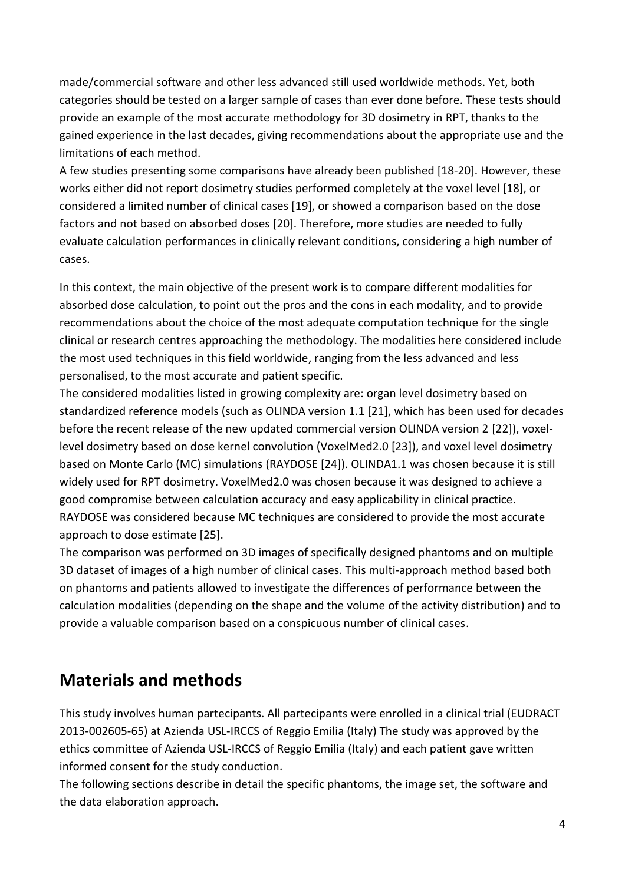made/commercial software and other less advanced still used worldwide methods. Yet, both categories should be tested on a larger sample of cases than ever done before. These tests should provide an example of the most accurate methodology for 3D dosimetry in RPT, thanks to the gained experience in the last decades, giving recommendations about the appropriate use and the limitations of each method.

A few studies presenting some comparisons have already been published [18-20]. However, these works either did not report dosimetry studies performed completely at the voxel level [18], or considered a limited number of clinical cases [19], or showed a comparison based on the dose factors and not based on absorbed doses [20]. Therefore, more studies are needed to fully evaluate calculation performances in clinically relevant conditions, considering a high number of cases.

In this context, the main objective of the present work is to compare different modalities for absorbed dose calculation, to point out the pros and the cons in each modality, and to provide recommendations about the choice of the most adequate computation technique for the single clinical or research centres approaching the methodology. The modalities here considered include the most used techniques in this field worldwide, ranging from the less advanced and less personalised, to the most accurate and patient specific.

The considered modalities listed in growing complexity are: organ level dosimetry based on standardized reference models (such as OLINDA version 1.1 [21], which has been used for decades before the recent release of the new updated commercial version OLINDA version 2 [22]), voxellevel dosimetry based on dose kernel convolution (VoxelMed2.0 [23]), and voxel level dosimetry based on Monte Carlo (MC) simulations (RAYDOSE [24]). OLINDA1.1 was chosen because it is still widely used for RPT dosimetry. VoxelMed2.0 was chosen because it was designed to achieve a good compromise between calculation accuracy and easy applicability in clinical practice. RAYDOSE was considered because MC techniques are considered to provide the most accurate approach to dose estimate [25].

The comparison was performed on 3D images of specifically designed phantoms and on multiple 3D dataset of images of a high number of clinical cases. This multi-approach method based both on phantoms and patients allowed to investigate the differences of performance between the calculation modalities (depending on the shape and the volume of the activity distribution) and to provide a valuable comparison based on a conspicuous number of clinical cases.

# **Materials and methods**

This study involves human partecipants. All partecipants were enrolled in a clinical trial (EUDRACT 2013-002605-65) at Azienda USL-IRCCS of Reggio Emilia (Italy) The study was approved by the ethics committee of Azienda USL-IRCCS of Reggio Emilia (Italy) and each patient gave written informed consent for the study conduction.

The following sections describe in detail the specific phantoms, the image set, the software and the data elaboration approach.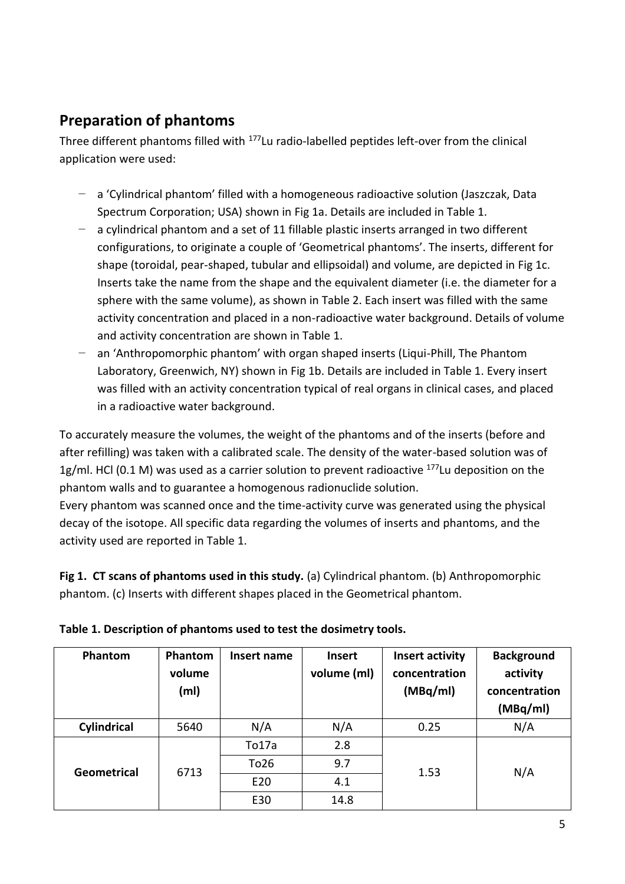# **Preparation of phantoms**

Three different phantoms filled with <sup>177</sup>Lu radio-labelled peptides left-over from the clinical application were used:

- − a 'Cylindrical phantom' filled with a homogeneous radioactive solution (Jaszczak, Data Spectrum Corporation; USA) shown in Fig 1a. Details are included in Table 1.
- − a cylindrical phantom and a set of 11 fillable plastic inserts arranged in two different configurations, to originate a couple of 'Geometrical phantoms'. The inserts, different for shape (toroidal, pear-shaped, tubular and ellipsoidal) and volume, are depicted in Fig 1c. Inserts take the name from the shape and the equivalent diameter (i.e. the diameter for a sphere with the same volume), as shown in Table 2. Each insert was filled with the same activity concentration and placed in a non-radioactive water background. Details of volume and activity concentration are shown in Table 1.
- an 'Anthropomorphic phantom' with organ shaped inserts (Liqui-Phill, The Phantom Laboratory, Greenwich, NY) shown in Fig 1b. Details are included in Table 1. Every insert was filled with an activity concentration typical of real organs in clinical cases, and placed in a radioactive water background.

To accurately measure the volumes, the weight of the phantoms and of the inserts (before and after refilling) was taken with a calibrated scale. The density of the water-based solution was of 1g/ml. HCl (0.1 M) was used as a carrier solution to prevent radioactive  $177$ Lu deposition on the phantom walls and to guarantee a homogenous radionuclide solution.

Every phantom was scanned once and the time-activity curve was generated using the physical decay of the isotope. All specific data regarding the volumes of inserts and phantoms, and the activity used are reported in Table 1.

**Fig 1. CT scans of phantoms used in this study.** (a) Cylindrical phantom. (b) Anthropomorphic phantom. (c) Inserts with different shapes placed in the Geometrical phantom.

| Phantom     | Phantom<br>volume<br>(m <sub>l</sub> ) | Insert name | <b>Insert</b><br>volume (ml) | Insert activity<br>concentration<br>(MBq/ml) | <b>Background</b><br>activity<br>concentration<br>(MBq/ml) |
|-------------|----------------------------------------|-------------|------------------------------|----------------------------------------------|------------------------------------------------------------|
| Cylindrical | 5640                                   | N/A         | N/A                          | 0.25                                         | N/A                                                        |
|             |                                        | To17a       | 2.8                          |                                              |                                                            |
| Geometrical | 6713                                   | To26        | 9.7                          | 1.53                                         | N/A                                                        |
|             |                                        | E20         | 4.1                          |                                              |                                                            |
|             |                                        | E30         | 14.8                         |                                              |                                                            |

|  | Table 1. Description of phantoms used to test the dosimetry tools. |
|--|--------------------------------------------------------------------|
|--|--------------------------------------------------------------------|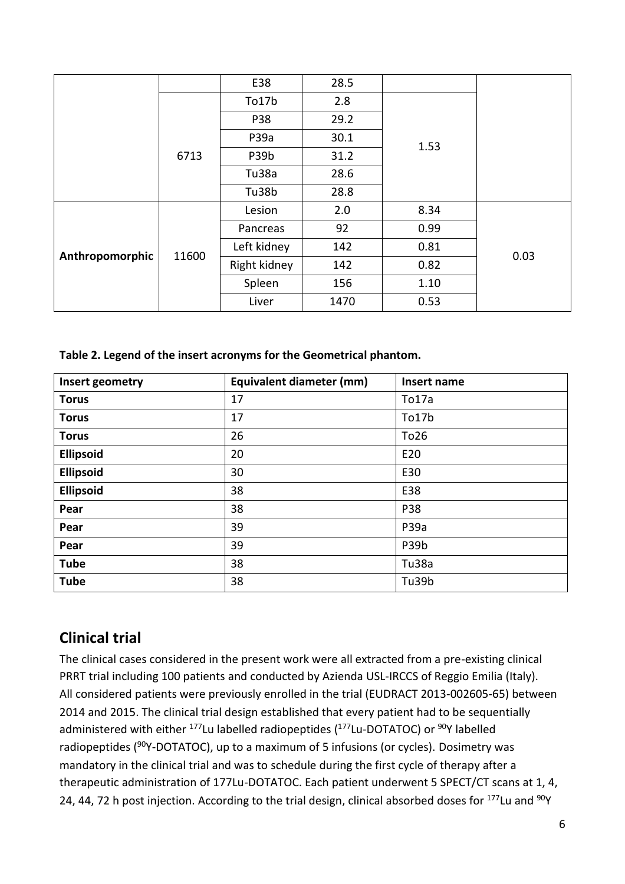|                 |       | E38          | 28.5 |      |      |  |
|-----------------|-------|--------------|------|------|------|--|
|                 |       | To17b        | 2.8  |      |      |  |
|                 |       | <b>P38</b>   | 29.2 |      |      |  |
|                 |       | P39a         | 30.1 | 1.53 |      |  |
|                 | 6713  | P39b         | 31.2 |      |      |  |
|                 |       | Tu38a        | 28.6 |      |      |  |
|                 |       | Tu38b        | 28.8 |      |      |  |
| Anthropomorphic | 11600 | Lesion       | 2.0  | 8.34 |      |  |
|                 |       | Pancreas     | 92   | 0.99 |      |  |
|                 |       | Left kidney  | 142  | 0.81 | 0.03 |  |
|                 |       | Right kidney | 142  | 0.82 |      |  |
|                 |       | Spleen       | 156  | 1.10 |      |  |
|                 |       | Liver        | 1470 | 0.53 |      |  |

**Table 2. Legend of the insert acronyms for the Geometrical phantom.** 

| Insert geometry  | Equivalent diameter (mm) | Insert name |
|------------------|--------------------------|-------------|
| <b>Torus</b>     | 17                       | To17a       |
| <b>Torus</b>     | 17                       | To17b       |
| <b>Torus</b>     | 26                       | To26        |
| <b>Ellipsoid</b> | 20                       | E20         |
| <b>Ellipsoid</b> | 30                       | E30         |
| <b>Ellipsoid</b> | 38                       | E38         |
| Pear             | 38                       | <b>P38</b>  |
| Pear             | 39                       | P39a        |
| Pear             | 39                       | P39b        |
| <b>Tube</b>      | 38                       | Tu38a       |
| <b>Tube</b>      | 38                       | Tu39b       |

# **Clinical trial**

The clinical cases considered in the present work were all extracted from a pre-existing clinical PRRT trial including 100 patients and conducted by Azienda USL-IRCCS of Reggio Emilia (Italy). All considered patients were previously enrolled in the trial (EUDRACT 2013-002605-65) between 2014 and 2015. The clinical trial design established that every patient had to be sequentially administered with either <sup>177</sup>Lu labelled radiopeptides (<sup>177</sup>Lu-DOTATOC) or <sup>90</sup>Y labelled radiopeptides ( $90$ Y-DOTATOC), up to a maximum of 5 infusions (or cycles). Dosimetry was mandatory in the clinical trial and was to schedule during the first cycle of therapy after a therapeutic administration of 177Lu-DOTATOC. Each patient underwent 5 SPECT/CT scans at 1, 4, 24, 44, 72 h post injection. According to the trial design, clinical absorbed doses for <sup>177</sup>Lu and <sup>90</sup>Y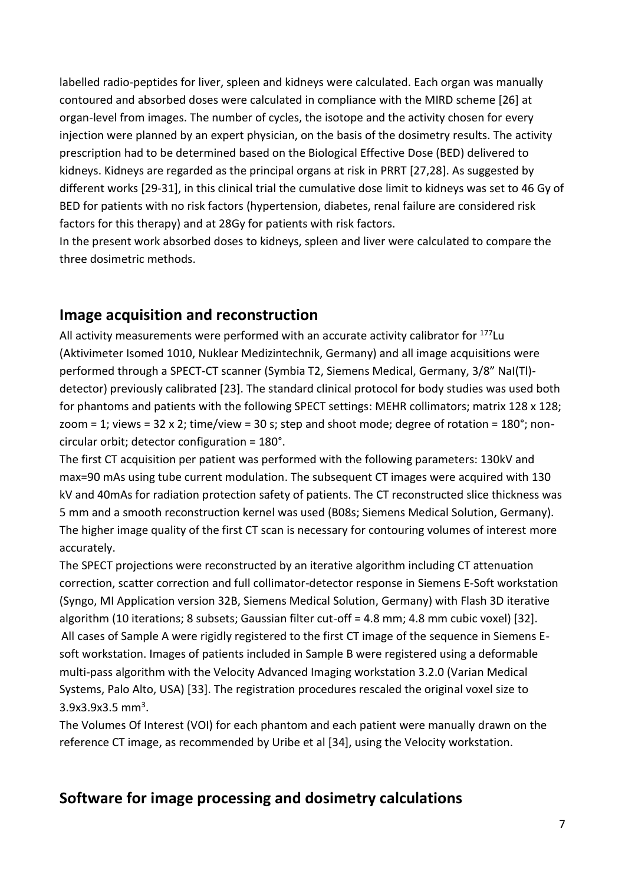labelled radio-peptides for liver, spleen and kidneys were calculated. Each organ was manually contoured and absorbed doses were calculated in compliance with the MIRD scheme [26] at organ-level from images. The number of cycles, the isotope and the activity chosen for every injection were planned by an expert physician, on the basis of the dosimetry results. The activity prescription had to be determined based on the Biological Effective Dose (BED) delivered to kidneys. Kidneys are regarded as the principal organs at risk in PRRT [27,28]. As suggested by different works [29-31], in this clinical trial the cumulative dose limit to kidneys was set to 46 Gy of BED for patients with no risk factors (hypertension, diabetes, renal failure are considered risk factors for this therapy) and at 28Gy for patients with risk factors.

In the present work absorbed doses to kidneys, spleen and liver were calculated to compare the three dosimetric methods.

### **Image acquisition and reconstruction**

All activity measurements were performed with an accurate activity calibrator for <sup>177</sup>Lu (Aktivimeter Isomed 1010, Nuklear Medizintechnik, Germany) and all image acquisitions were performed through a SPECT-CT scanner (Symbia T2, Siemens Medical, Germany, 3/8" NaI(Tl) detector) previously calibrated [23]. The standard clinical protocol for body studies was used both for phantoms and patients with the following SPECT settings: MEHR collimators; matrix 128 x 128; zoom = 1; views = 32 x 2; time/view = 30 s; step and shoot mode; degree of rotation =  $180^\circ$ ; noncircular orbit; detector configuration = 180°.

The first CT acquisition per patient was performed with the following parameters: 130kV and max=90 mAs using tube current modulation. The subsequent CT images were acquired with 130 kV and 40mAs for radiation protection safety of patients. The CT reconstructed slice thickness was 5 mm and a smooth reconstruction kernel was used (B08s; Siemens Medical Solution, Germany). The higher image quality of the first CT scan is necessary for contouring volumes of interest more accurately.

The SPECT projections were reconstructed by an iterative algorithm including CT attenuation correction, scatter correction and full collimator-detector response in Siemens E-Soft workstation (Syngo, MI Application version 32B, Siemens Medical Solution, Germany) with Flash 3D iterative algorithm (10 iterations; 8 subsets; Gaussian filter cut-off = 4.8 mm; 4.8 mm cubic voxel) [32]. All cases of Sample A were rigidly registered to the first CT image of the sequence in Siemens Esoft workstation. Images of patients included in Sample B were registered using a deformable multi-pass algorithm with the Velocity Advanced Imaging workstation 3.2.0 (Varian Medical Systems, Palo Alto, USA) [33]. The registration procedures rescaled the original voxel size to  $3.9x3.9x3.5$  mm<sup>3</sup>.

The Volumes Of Interest (VOI) for each phantom and each patient were manually drawn on the reference CT image, as recommended by Uribe et al [34], using the Velocity workstation.

## **Software for image processing and dosimetry calculations**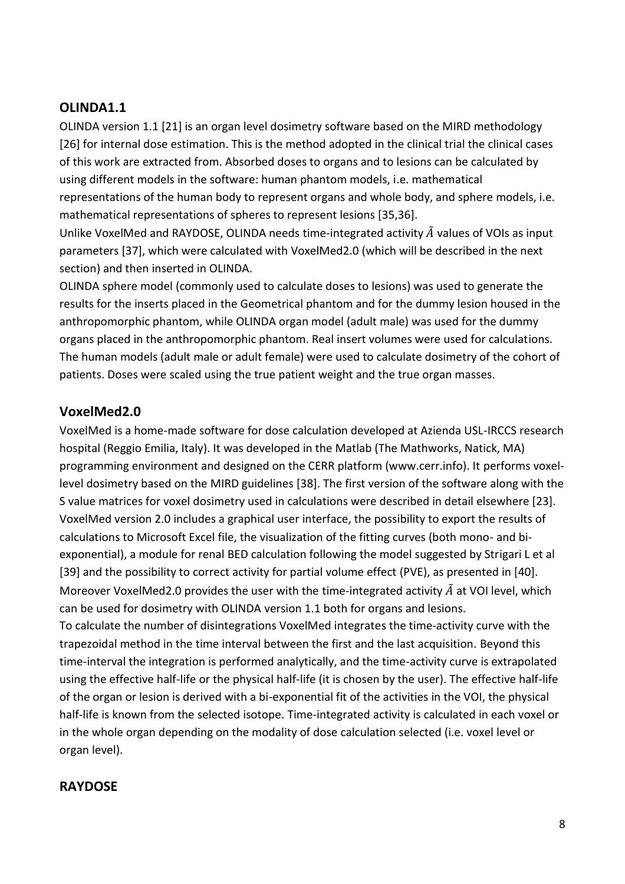#### **OLINDA1.1**

OLINDA version 1.1 [21] is an organ level dosimetry software based on the MIRD methodology [26] for internal dose estimation. This is the method adopted in the clinical trial the clinical cases of this work are extracted from. Absorbed doses to organs and to lesions can be calculated by using different models in the software: human phantom models, i.e. mathematical representations of the human body to represent organs and whole body, and sphere models, i.e. mathematical representations of spheres to represent lesions [35,36].

Unlike VoxelMed and RAYDOSE, OLINDA needs time-integrated activity  $\tilde{A}$  values of VOIs as input parameters [37], which were calculated with VoxelMed2.0 (which will be described in the next section) and then inserted in OLINDA.

OLINDA sphere model (commonly used to calculate doses to lesions) was used to generate the results for the inserts placed in the Geometrical phantom and for the dummy lesion housed in the anthropomorphic phantom, while OLINDA organ model (adult male) was used for the dummy organs placed in the anthropomorphic phantom. Real insert volumes were used for calculations. The human models (adult male or adult female) were used to calculate dosimetry of the cohort of patients. Doses were scaled using the true patient weight and the true organ masses.

#### **VoxelMed2.0**

VoxelMed is a home-made software for dose calculation developed at Azienda USL-IRCCS research hospital (Reggio Emilia, Italy). It was developed in the Matlab (The Mathworks, Natick, MA) programming environment and designed on the CERR platform (www.cerr.info). It performs voxellevel dosimetry based on the MIRD guidelines [38]. The first version of the software along with the S value matrices for voxel dosimetry used in calculations were described in detail elsewhere [23]. VoxelMed version 2.0 includes a graphical user interface, the possibility to export the results of calculations to Microsoft Excel file, the visualization of the fitting curves (both mono- and biexponential), a module for renal BED calculation following the model suggested by Strigari L et al [39] and the possibility to correct activity for partial volume effect (PVE), as presented in [40]. Moreover VoxelMed2.0 provides the user with the time-integrated activity  $\tilde{A}$  at VOI level, which can be used for dosimetry with OLINDA version 1.1 both for organs and lesions. To calculate the number of disintegrations VoxelMed integrates the time-activity curve with the trapezoidal method in the time interval between the first and the last acquisition. Beyond this time-interval the integration is performed analytically, and the time-activity curve is extrapolated using the effective half-life or the physical half-life (it is chosen by the user). The effective half-life of the organ or lesion is derived with a bi-exponential fit of the activities in the VOI, the physical half-life is known from the selected isotope. Time-integrated activity is calculated in each voxel or in the whole organ depending on the modality of dose calculation selected (i.e. voxel level or

organ level).

#### **RAYDOSE**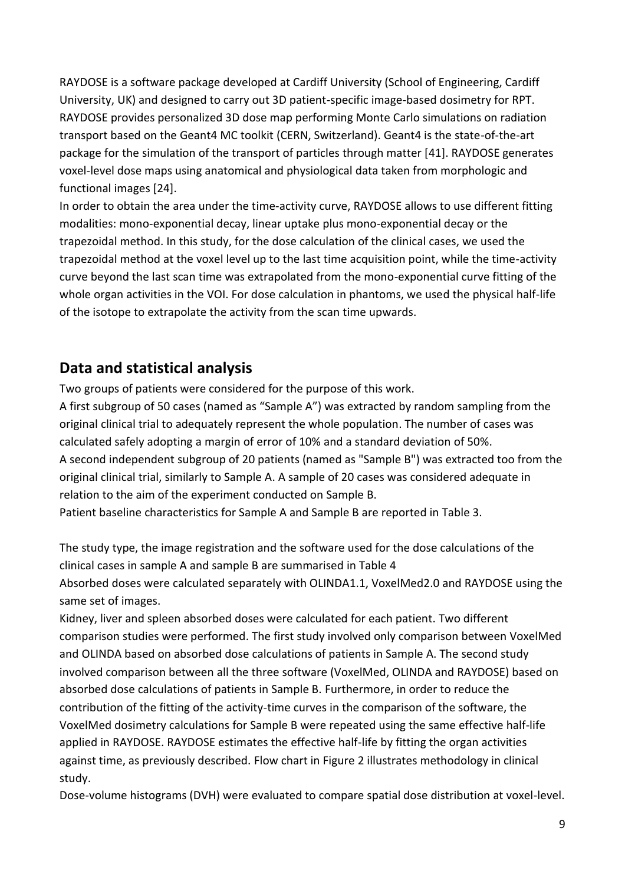RAYDOSE is a software package developed at Cardiff University (School of Engineering, Cardiff University, UK) and designed to carry out 3D patient-specific image-based dosimetry for RPT. RAYDOSE provides personalized 3D dose map performing Monte Carlo simulations on radiation transport based on the Geant4 MC toolkit (CERN, Switzerland). Geant4 is the state-of-the-art package for the simulation of the transport of particles through matter [41]. RAYDOSE generates voxel-level dose maps using anatomical and physiological data taken from morphologic and functional images [24].

In order to obtain the area under the time-activity curve, RAYDOSE allows to use different fitting modalities: mono-exponential decay, linear uptake plus mono-exponential decay or the trapezoidal method. In this study, for the dose calculation of the clinical cases, we used the trapezoidal method at the voxel level up to the last time acquisition point, while the time-activity curve beyond the last scan time was extrapolated from the mono-exponential curve fitting of the whole organ activities in the VOI. For dose calculation in phantoms, we used the physical half-life of the isotope to extrapolate the activity from the scan time upwards.

## **Data and statistical analysis**

Two groups of patients were considered for the purpose of this work.

A first subgroup of 50 cases (named as "Sample A") was extracted by random sampling from the original clinical trial to adequately represent the whole population. The number of cases was calculated safely adopting a margin of error of 10% and a standard deviation of 50%. A second independent subgroup of 20 patients (named as "Sample B") was extracted too from the original clinical trial, similarly to Sample A. A sample of 20 cases was considered adequate in relation to the aim of the experiment conducted on Sample B. Patient baseline characteristics for Sample A and Sample B are reported in Table 3.

The study type, the image registration and the software used for the dose calculations of the clinical cases in sample A and sample B are summarised in Table 4 Absorbed doses were calculated separately with OLINDA1.1, VoxelMed2.0 and RAYDOSE using the same set of images.

Kidney, liver and spleen absorbed doses were calculated for each patient. Two different comparison studies were performed. The first study involved only comparison between VoxelMed and OLINDA based on absorbed dose calculations of patients in Sample A. The second study involved comparison between all the three software (VoxelMed, OLINDA and RAYDOSE) based on absorbed dose calculations of patients in Sample B. Furthermore, in order to reduce the contribution of the fitting of the activity-time curves in the comparison of the software, the VoxelMed dosimetry calculations for Sample B were repeated using the same effective half-life applied in RAYDOSE. RAYDOSE estimates the effective half-life by fitting the organ activities against time, as previously described. Flow chart in Figure 2 illustrates methodology in clinical study.

Dose-volume histograms (DVH) were evaluated to compare spatial dose distribution at voxel-level.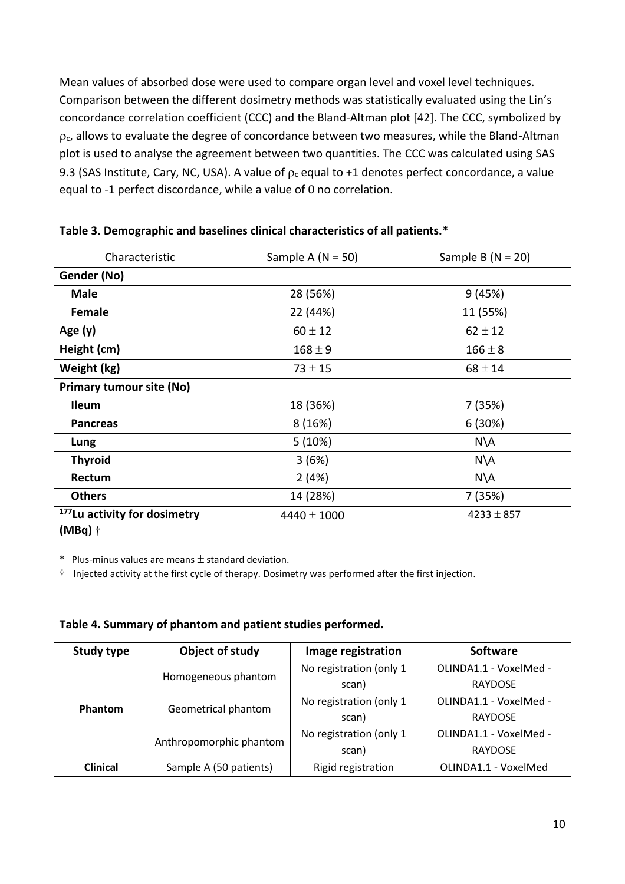Mean values of absorbed dose were used to compare organ level and voxel level techniques. Comparison between the different dosimetry methods was statistically evaluated using the Lin's concordance correlation coefficient (CCC) and the Bland-Altman plot [42]. The CCC, symbolized by  $\rho_c$ , allows to evaluate the degree of concordance between two measures, while the Bland-Altman plot is used to analyse the agreement between two quantities. The CCC was calculated using SAS 9.3 (SAS Institute, Cary, NC, USA). A value of  $\rho_c$  equal to +1 denotes perfect concordance, a value equal to -1 perfect discordance, while a value of 0 no correlation.

| Characteristic                                        | Sample A $(N = 50)$ | Sample B ( $N = 20$ ) |
|-------------------------------------------------------|---------------------|-----------------------|
| Gender (No)                                           |                     |                       |
| <b>Male</b>                                           | 28 (56%)            | 9(45%)                |
| <b>Female</b>                                         | 22 (44%)            | 11 (55%)              |
| Age (y)                                               | $60 \pm 12$         | $62 \pm 12$           |
| Height (cm)                                           | $168 \pm 9$         | $166 \pm 8$           |
| Weight (kg)                                           | $73 \pm 15$         | $68 \pm 14$           |
| <b>Primary tumour site (No)</b>                       |                     |                       |
| <b>Ileum</b>                                          | 18 (36%)            | 7(35%)                |
| <b>Pancreas</b>                                       | 8(16%)              | 6(30%)                |
| Lung                                                  | 5(10%)              | $N\setminus A$        |
| <b>Thyroid</b>                                        | 3(6%)               | $N\setminus A$        |
| Rectum                                                | 2(4%)               | $N\setminus A$        |
| <b>Others</b>                                         | 14 (28%)            | 7 (35%)               |
| <sup>177</sup> Lu activity for dosimetry<br>$(MBq)$ † | $4440 \pm 1000$     | $4233 \pm 857$        |

**Table 3. Demographic and baselines clinical characteristics of all patients.\*** 

 $*$  Plus-minus values are means  $\pm$  standard deviation.

† Injected activity at the first cycle of therapy. Dosimetry was performed after the first injection.

| Table 4. Summary of phantom and patient studies performed. |  |  |  |
|------------------------------------------------------------|--|--|--|
|------------------------------------------------------------|--|--|--|

| <b>Study type</b> | Object of study         | Image registration      | <b>Software</b>        |
|-------------------|-------------------------|-------------------------|------------------------|
| Phantom           | Homogeneous phantom     | No registration (only 1 | OLINDA1.1 - VoxelMed - |
|                   |                         | scan)                   | <b>RAYDOSE</b>         |
|                   |                         | No registration (only 1 | OLINDA1.1 - VoxelMed - |
|                   | Geometrical phantom     | scan)                   | <b>RAYDOSE</b>         |
|                   | Anthropomorphic phantom | No registration (only 1 | OLINDA1.1 - VoxelMed - |
|                   |                         | scan)                   | <b>RAYDOSE</b>         |
| <b>Clinical</b>   | Sample A (50 patients)  | Rigid registration      | OLINDA1.1 - VoxelMed   |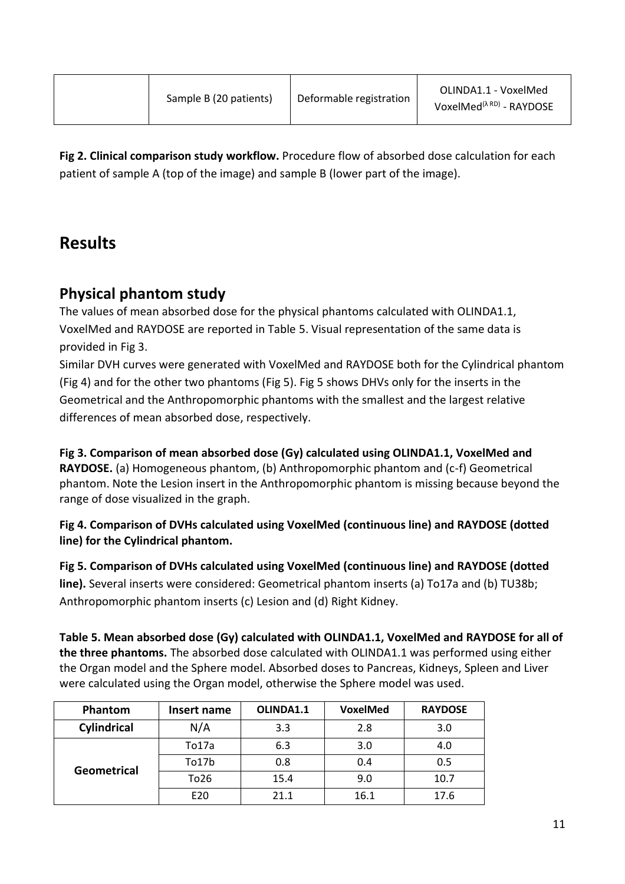**Fig 2. Clinical comparison study workflow.** Procedure flow of absorbed dose calculation for each patient of sample A (top of the image) and sample B (lower part of the image).

# **Results**

## **Physical phantom study**

The values of mean absorbed dose for the physical phantoms calculated with OLINDA1.1, VoxelMed and RAYDOSE are reported in Table 5. Visual representation of the same data is provided in Fig 3.

Similar DVH curves were generated with VoxelMed and RAYDOSE both for the Cylindrical phantom (Fig 4) and for the other two phantoms (Fig 5). Fig 5 shows DHVs only for the inserts in the Geometrical and the Anthropomorphic phantoms with the smallest and the largest relative differences of mean absorbed dose, respectively.

**Fig 3. Comparison of mean absorbed dose (Gy) calculated using OLINDA1.1, VoxelMed and RAYDOSE.** (a) Homogeneous phantom, (b) Anthropomorphic phantom and (c-f) Geometrical phantom. Note the Lesion insert in the Anthropomorphic phantom is missing because beyond the range of dose visualized in the graph.

**Fig 4. Comparison of DVHs calculated using VoxelMed (continuous line) and RAYDOSE (dotted line) for the Cylindrical phantom.**

**Fig 5. Comparison of DVHs calculated using VoxelMed (continuous line) and RAYDOSE (dotted line).** Several inserts were considered: Geometrical phantom inserts (a) To17a and (b) TU38b; Anthropomorphic phantom inserts (c) Lesion and (d) Right Kidney.

**Table 5. Mean absorbed dose (Gy) calculated with OLINDA1.1, VoxelMed and RAYDOSE for all of the three phantoms.** The absorbed dose calculated with OLINDA1.1 was performed using either the Organ model and the Sphere model. Absorbed doses to Pancreas, Kidneys, Spleen and Liver were calculated using the Organ model, otherwise the Sphere model was used.

| Phantom     | Insert name | OLINDA1.1 | <b>VoxelMed</b> | <b>RAYDOSE</b> |
|-------------|-------------|-----------|-----------------|----------------|
| Cylindrical | N/A         | 3.3       | 2.8             | 3.0            |
| Geometrical | To17a       | 6.3       | 3.0             | 4.0            |
|             | To17b       | 0.8       | 0.4             | 0.5            |
|             | To26        | 15.4      | 9.0             | 10.7           |
|             | E20         | 21.1      | 16.1            | 17.6           |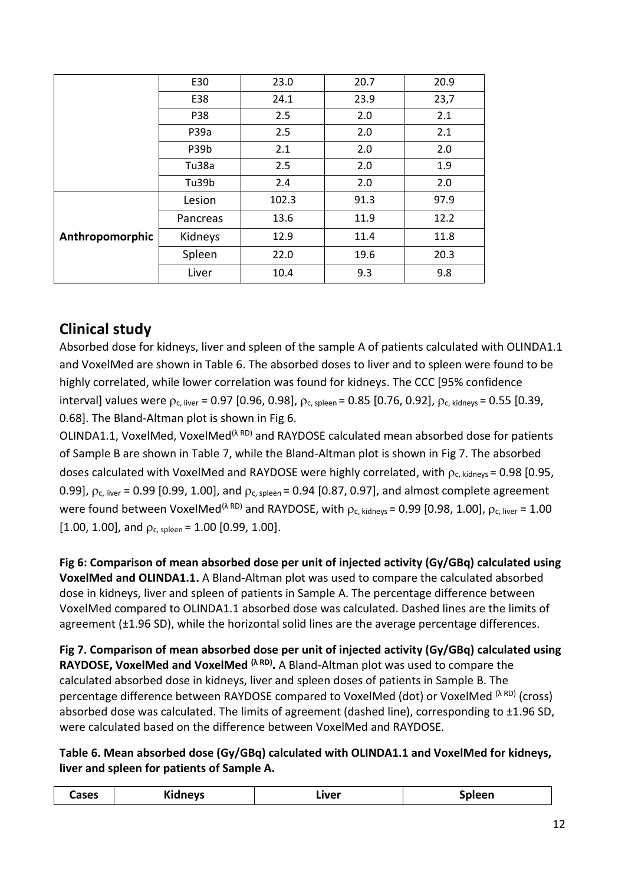|                 | E30      | 23.0  | 20.7 | 20.9 |
|-----------------|----------|-------|------|------|
|                 | E38      | 24.1  | 23.9 | 23,7 |
|                 | P38      | 2.5   | 2.0  | 2.1  |
|                 | P39a     | 2.5   | 2.0  | 2.1  |
|                 | P39b     | 2.1   | 2.0  | 2.0  |
|                 | Tu38a    | 2.5   | 2.0  | 1.9  |
|                 | Tu39b    | 2.4   | 2.0  | 2.0  |
|                 | Lesion   | 102.3 | 91.3 | 97.9 |
|                 | Pancreas | 13.6  | 11.9 | 12.2 |
| Anthropomorphic | Kidneys  | 12.9  | 11.4 | 11.8 |
|                 | Spleen   | 22.0  | 19.6 | 20.3 |
|                 | Liver    | 10.4  | 9.3  | 9.8  |

## **Clinical study**

Absorbed dose for kidneys, liver and spleen of the sample A of patients calculated with OLINDA1.1 and VoxelMed are shown in Table 6. The absorbed doses to liver and to spleen were found to be highly correlated, while lower correlation was found for kidneys. The CCC [95% confidence interval] values were  $p_c$ , liver = 0.97 [0.96, 0.98],  $p_c$ , spleen = 0.85 [0.76, 0.92],  $p_c$ , kidneys = 0.55 [0.39, 0.68]. The Bland-Altman plot is shown in Fig 6.

OLINDA1.1, VoxelMed, VoxelMed<sup>(λ RD)</sup> and RAYDOSE calculated mean absorbed dose for patients of Sample B are shown in Table 7, while the Bland-Altman plot is shown in Fig 7. The absorbed doses calculated with VoxelMed and RAYDOSE were highly correlated, with  $\rho_c$ , kidneys = 0.98 [0.95, 0.99],  $\rho_c$  liver = 0.99 [0.99, 1.00], and  $\rho_c$  spleen = 0.94 [0.87, 0.97], and almost complete agreement were found between VoxelMed<sup>( $\lambda$  RD)</sup> and RAYDOSE, with  $\rho_c$ , kidneys = 0.99 [0.98, 1.00],  $\rho_c$ , liver = 1.00  $[1.00, 1.00]$ , and  $\rho_{c, spleen}$  = 1.00 [0.99, 1.00].

**Fig 6: Comparison of mean absorbed dose per unit of injected activity (Gy/GBq) calculated using VoxelMed and OLINDA1.1.** A Bland-Altman plot was used to compare the calculated absorbed dose in kidneys, liver and spleen of patients in Sample A. The percentage difference between VoxelMed compared to OLINDA1.1 absorbed dose was calculated. Dashed lines are the limits of agreement (±1.96 SD), while the horizontal solid lines are the average percentage differences.

**Fig 7. Comparison of mean absorbed dose per unit of injected activity (Gy/GBq) calculated using RAYDOSE, VoxelMed and VoxelMed (λ RD) .** A Bland-Altman plot was used to compare the calculated absorbed dose in kidneys, liver and spleen doses of patients in Sample B. The percentage difference between RAYDOSE compared to VoxelMed (dot) or VoxelMed <sup>(λ RD)</sup> (cross) absorbed dose was calculated. The limits of agreement (dashed line), corresponding to  $\pm$ 1.96 SD, were calculated based on the difference between VoxelMed and RAYDOSE.

#### **Table 6. Mean absorbed dose (Gy/GBq) calculated with OLINDA1.1 and VoxelMed for kidneys, liver and spleen for patients of Sample A.**

| $\cdots$<br>Cases<br>ipleen<br>Liver<br>nevs<br> |  |
|--------------------------------------------------|--|
|--------------------------------------------------|--|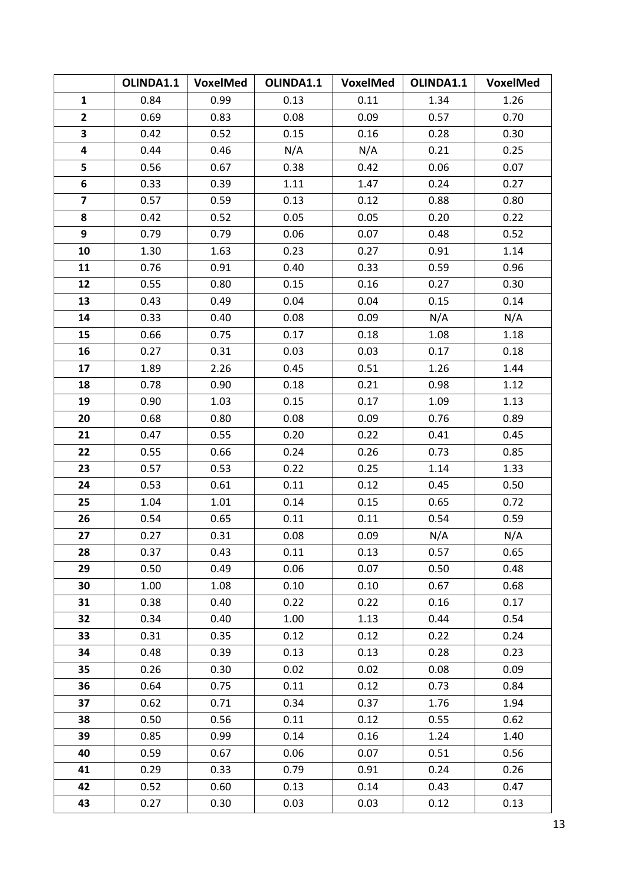|                         | OLINDA1.1 | VoxelMed | OLINDA1.1 | VoxelMed | OLINDA1.1 | VoxelMed |
|-------------------------|-----------|----------|-----------|----------|-----------|----------|
| $\mathbf{1}$            | 0.84      | 0.99     | 0.13      | 0.11     | 1.34      | 1.26     |
| $\overline{2}$          | 0.69      | 0.83     | 0.08      | 0.09     | 0.57      | 0.70     |
| 3                       | 0.42      | 0.52     | 0.15      | 0.16     | 0.28      | 0.30     |
| 4                       | 0.44      | 0.46     | N/A       | N/A      | 0.21      | 0.25     |
| 5                       | 0.56      | 0.67     | 0.38      | 0.42     | 0.06      | 0.07     |
| 6                       | 0.33      | 0.39     | 1.11      | 1.47     | 0.24      | 0.27     |
| $\overline{\mathbf{z}}$ | 0.57      | 0.59     | 0.13      | 0.12     | 0.88      | 0.80     |
| 8                       | 0.42      | 0.52     | 0.05      | 0.05     | 0.20      | 0.22     |
| 9                       | 0.79      | 0.79     | 0.06      | 0.07     | 0.48      | 0.52     |
| 10                      | 1.30      | 1.63     | 0.23      | 0.27     | 0.91      | 1.14     |
| 11                      | 0.76      | 0.91     | 0.40      | 0.33     | 0.59      | 0.96     |
| 12                      | 0.55      | 0.80     | 0.15      | 0.16     | 0.27      | 0.30     |
| 13                      | 0.43      | 0.49     | 0.04      | 0.04     | 0.15      | 0.14     |
| 14                      | 0.33      | 0.40     | 0.08      | 0.09     | N/A       | N/A      |
| 15                      | 0.66      | 0.75     | 0.17      | 0.18     | 1.08      | 1.18     |
| 16                      | 0.27      | 0.31     | 0.03      | 0.03     | 0.17      | 0.18     |
| 17                      | 1.89      | 2.26     | 0.45      | 0.51     | 1.26      | 1.44     |
| 18                      | 0.78      | 0.90     | 0.18      | 0.21     | 0.98      | 1.12     |
| 19                      | 0.90      | 1.03     | 0.15      | 0.17     | 1.09      | 1.13     |
| 20                      | 0.68      | 0.80     | 0.08      | 0.09     | 0.76      | 0.89     |
| 21                      | 0.47      | 0.55     | 0.20      | 0.22     | 0.41      | 0.45     |
| 22                      | 0.55      | 0.66     | 0.24      | 0.26     | 0.73      | 0.85     |
| 23                      | 0.57      | 0.53     | 0.22      | 0.25     | 1.14      | 1.33     |
| 24                      | 0.53      | 0.61     | 0.11      | 0.12     | 0.45      | 0.50     |
| 25                      | 1.04      | 1.01     | 0.14      | 0.15     | 0.65      | 0.72     |
| 26                      | 0.54      | 0.65     | 0.11      | 0.11     | 0.54      | 0.59     |
| 27                      | 0.27      | 0.31     | 0.08      | 0.09     | N/A       | N/A      |
| 28                      | 0.37      | 0.43     | 0.11      | 0.13     | 0.57      | 0.65     |
| 29                      | 0.50      | 0.49     | 0.06      | 0.07     | 0.50      | 0.48     |
| 30                      | 1.00      | 1.08     | 0.10      | 0.10     | 0.67      | 0.68     |
| 31                      | 0.38      | 0.40     | 0.22      | 0.22     | 0.16      | 0.17     |
| 32                      | 0.34      | 0.40     | 1.00      | 1.13     | 0.44      | 0.54     |
| 33                      | 0.31      | 0.35     | 0.12      | 0.12     | 0.22      | 0.24     |
| 34                      | 0.48      | 0.39     | 0.13      | 0.13     | 0.28      | 0.23     |
| 35                      | 0.26      | 0.30     | 0.02      | 0.02     | 0.08      | 0.09     |
| 36                      | 0.64      | 0.75     | 0.11      | 0.12     | 0.73      | 0.84     |
| 37                      | 0.62      | 0.71     | 0.34      | 0.37     | 1.76      | 1.94     |
| 38                      | 0.50      | 0.56     | 0.11      | 0.12     | 0.55      | 0.62     |
| 39                      | 0.85      | 0.99     | 0.14      | 0.16     | 1.24      | 1.40     |
| 40                      | 0.59      | 0.67     | 0.06      | 0.07     | 0.51      | 0.56     |
| 41                      | 0.29      | 0.33     | 0.79      | 0.91     | 0.24      | 0.26     |
| 42                      | 0.52      | 0.60     | 0.13      | 0.14     | 0.43      | 0.47     |
| 43                      | 0.27      | 0.30     | 0.03      | 0.03     | 0.12      | 0.13     |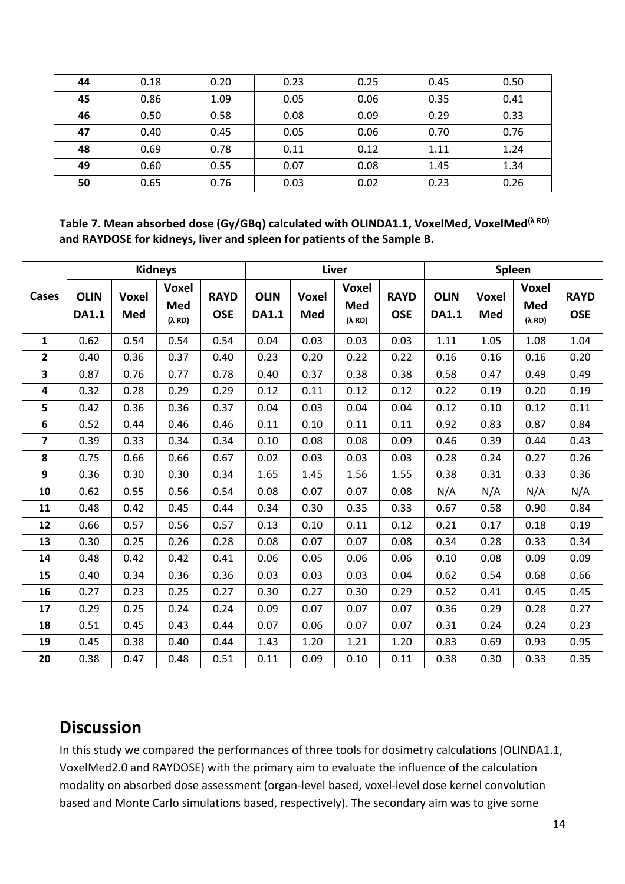| 44 | 0.18 | 0.20 | 0.23 | 0.25 | 0.45 | 0.50 |
|----|------|------|------|------|------|------|
| 45 | 0.86 | 1.09 | 0.05 | 0.06 | 0.35 | 0.41 |
| 46 | 0.50 | 0.58 | 0.08 | 0.09 | 0.29 | 0.33 |
| 47 | 0.40 | 0.45 | 0.05 | 0.06 | 0.70 | 0.76 |
| 48 | 0.69 | 0.78 | 0.11 | 0.12 | 1.11 | 1.24 |
| 49 | 0.60 | 0.55 | 0.07 | 0.08 | 1.45 | 1.34 |
| 50 | 0.65 | 0.76 | 0.03 | 0.02 | 0.23 | 0.26 |

**Table 7. Mean absorbed dose (Gy/GBq) calculated with OLINDA1.1, VoxelMed, VoxelMed(λ RD) and RAYDOSE for kidneys, liver and spleen for patients of the Sample B.**

|                         | <b>Kidneys</b>              |                            |                                       |                           | Liver                       |                     |                                       |                           | Spleen                      |                     |                               |                           |
|-------------------------|-----------------------------|----------------------------|---------------------------------------|---------------------------|-----------------------------|---------------------|---------------------------------------|---------------------------|-----------------------------|---------------------|-------------------------------|---------------------------|
| Cases                   | <b>OLIN</b><br><b>DA1.1</b> | <b>Voxel</b><br><b>Med</b> | <b>Voxel</b><br>Med<br>$(\lambda$ RD) | <b>RAYD</b><br><b>OSE</b> | <b>OLIN</b><br><b>DA1.1</b> | <b>Voxel</b><br>Med | <b>Voxel</b><br>Med<br>$(\lambda$ RD) | <b>RAYD</b><br><b>OSE</b> | <b>OLIN</b><br><b>DA1.1</b> | <b>Voxel</b><br>Med | <b>Voxel</b><br>Med<br>(λ RD) | <b>RAYD</b><br><b>OSE</b> |
| $\mathbf{1}$            | 0.62                        | 0.54                       | 0.54                                  | 0.54                      | 0.04                        | 0.03                | 0.03                                  | 0.03                      | 1.11                        | 1.05                | 1.08                          | 1.04                      |
| $\overline{2}$          | 0.40                        | 0.36                       | 0.37                                  | 0.40                      | 0.23                        | 0.20                | 0.22                                  | 0.22                      | 0.16                        | 0.16                | 0.16                          | 0.20                      |
| 3                       | 0.87                        | 0.76                       | 0.77                                  | 0.78                      | 0.40                        | 0.37                | 0.38                                  | 0.38                      | 0.58                        | 0.47                | 0.49                          | 0.49                      |
| $\overline{\mathbf{4}}$ | 0.32                        | 0.28                       | 0.29                                  | 0.29                      | 0.12                        | 0.11                | 0.12                                  | 0.12                      | 0.22                        | 0.19                | 0.20                          | 0.19                      |
| 5                       | 0.42                        | 0.36                       | 0.36                                  | 0.37                      | 0.04                        | 0.03                | 0.04                                  | 0.04                      | 0.12                        | 0.10                | 0.12                          | 0.11                      |
| 6                       | 0.52                        | 0.44                       | 0.46                                  | 0.46                      | 0.11                        | 0.10                | 0.11                                  | 0.11                      | 0.92                        | 0.83                | 0.87                          | 0.84                      |
| $\overline{7}$          | 0.39                        | 0.33                       | 0.34                                  | 0.34                      | 0.10                        | 0.08                | 0.08                                  | 0.09                      | 0.46                        | 0.39                | 0.44                          | 0.43                      |
| 8                       | 0.75                        | 0.66                       | 0.66                                  | 0.67                      | 0.02                        | 0.03                | 0.03                                  | 0.03                      | 0.28                        | 0.24                | 0.27                          | 0.26                      |
| 9                       | 0.36                        | 0.30                       | 0.30                                  | 0.34                      | 1.65                        | 1.45                | 1.56                                  | 1.55                      | 0.38                        | 0.31                | 0.33                          | 0.36                      |
| 10                      | 0.62                        | 0.55                       | 0.56                                  | 0.54                      | 0.08                        | 0.07                | 0.07                                  | 0.08                      | N/A                         | N/A                 | N/A                           | N/A                       |
| 11                      | 0.48                        | 0.42                       | 0.45                                  | 0.44                      | 0.34                        | 0.30                | 0.35                                  | 0.33                      | 0.67                        | 0.58                | 0.90                          | 0.84                      |
| 12                      | 0.66                        | 0.57                       | 0.56                                  | 0.57                      | 0.13                        | 0.10                | 0.11                                  | 0.12                      | 0.21                        | 0.17                | 0.18                          | 0.19                      |
| 13                      | 0.30                        | 0.25                       | 0.26                                  | 0.28                      | 0.08                        | 0.07                | 0.07                                  | 0.08                      | 0.34                        | 0.28                | 0.33                          | 0.34                      |
| 14                      | 0.48                        | 0.42                       | 0.42                                  | 0.41                      | 0.06                        | 0.05                | 0.06                                  | 0.06                      | 0.10                        | 0.08                | 0.09                          | 0.09                      |
| 15                      | 0.40                        | 0.34                       | 0.36                                  | 0.36                      | 0.03                        | 0.03                | 0.03                                  | 0.04                      | 0.62                        | 0.54                | 0.68                          | 0.66                      |
| 16                      | 0.27                        | 0.23                       | 0.25                                  | 0.27                      | 0.30                        | 0.27                | 0.30                                  | 0.29                      | 0.52                        | 0.41                | 0.45                          | 0.45                      |
| 17                      | 0.29                        | 0.25                       | 0.24                                  | 0.24                      | 0.09                        | 0.07                | 0.07                                  | 0.07                      | 0.36                        | 0.29                | 0.28                          | 0.27                      |
| 18                      | 0.51                        | 0.45                       | 0.43                                  | 0.44                      | 0.07                        | 0.06                | 0.07                                  | 0.07                      | 0.31                        | 0.24                | 0.24                          | 0.23                      |
| 19                      | 0.45                        | 0.38                       | 0.40                                  | 0.44                      | 1.43                        | 1.20                | 1.21                                  | 1.20                      | 0.83                        | 0.69                | 0.93                          | 0.95                      |
| 20                      | 0.38                        | 0.47                       | 0.48                                  | 0.51                      | 0.11                        | 0.09                | 0.10                                  | 0.11                      | 0.38                        | 0.30                | 0.33                          | 0.35                      |

## **Discussion**

In this study we compared the performances of three tools for dosimetry calculations (OLINDA1.1, VoxelMed2.0 and RAYDOSE) with the primary aim to evaluate the influence of the calculation modality on absorbed dose assessment (organ-level based, voxel-level dose kernel convolution based and Monte Carlo simulations based, respectively). The secondary aim was to give some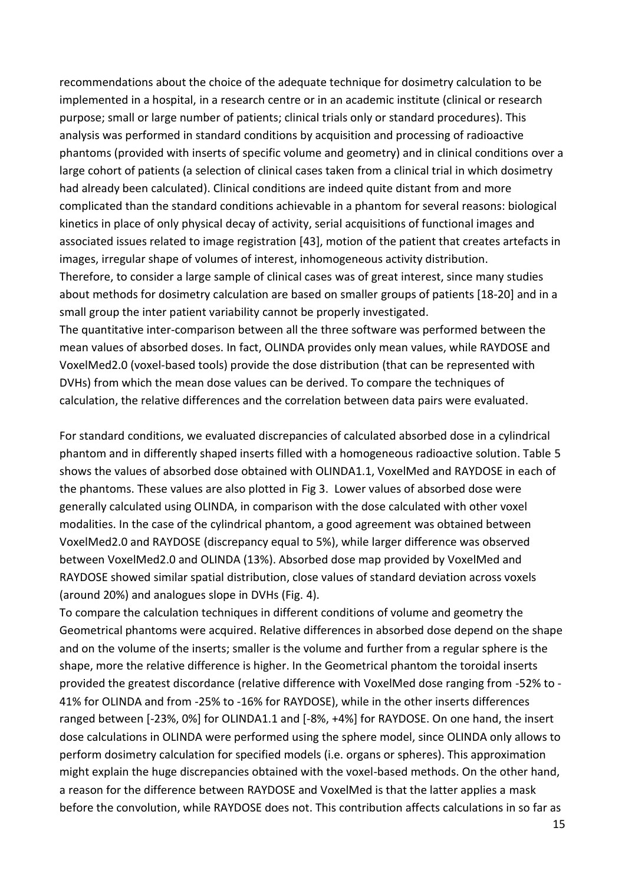recommendations about the choice of the adequate technique for dosimetry calculation to be implemented in a hospital, in a research centre or in an academic institute (clinical or research purpose; small or large number of patients; clinical trials only or standard procedures). This analysis was performed in standard conditions by acquisition and processing of radioactive phantoms (provided with inserts of specific volume and geometry) and in clinical conditions over a large cohort of patients (a selection of clinical cases taken from a clinical trial in which dosimetry had already been calculated). Clinical conditions are indeed quite distant from and more complicated than the standard conditions achievable in a phantom for several reasons: biological kinetics in place of only physical decay of activity, serial acquisitions of functional images and associated issues related to image registration [43], motion of the patient that creates artefacts in images, irregular shape of volumes of interest, inhomogeneous activity distribution. Therefore, to consider a large sample of clinical cases was of great interest, since many studies about methods for dosimetry calculation are based on smaller groups of patients [18-20] and in a small group the inter patient variability cannot be properly investigated.

The quantitative inter-comparison between all the three software was performed between the mean values of absorbed doses. In fact, OLINDA provides only mean values, while RAYDOSE and VoxelMed2.0 (voxel-based tools) provide the dose distribution (that can be represented with DVHs) from which the mean dose values can be derived. To compare the techniques of calculation, the relative differences and the correlation between data pairs were evaluated.

For standard conditions, we evaluated discrepancies of calculated absorbed dose in a cylindrical phantom and in differently shaped inserts filled with a homogeneous radioactive solution. Table 5 shows the values of absorbed dose obtained with OLINDA1.1, VoxelMed and RAYDOSE in each of the phantoms. These values are also plotted in Fig 3. Lower values of absorbed dose were generally calculated using OLINDA, in comparison with the dose calculated with other voxel modalities. In the case of the cylindrical phantom, a good agreement was obtained between VoxelMed2.0 and RAYDOSE (discrepancy equal to 5%), while larger difference was observed between VoxelMed2.0 and OLINDA (13%). Absorbed dose map provided by VoxelMed and RAYDOSE showed similar spatial distribution, close values of standard deviation across voxels (around 20%) and analogues slope in DVHs (Fig. 4).

To compare the calculation techniques in different conditions of volume and geometry the Geometrical phantoms were acquired. Relative differences in absorbed dose depend on the shape and on the volume of the inserts; smaller is the volume and further from a regular sphere is the shape, more the relative difference is higher. In the Geometrical phantom the toroidal inserts provided the greatest discordance (relative difference with VoxelMed dose ranging from -52% to - 41% for OLINDA and from -25% to -16% for RAYDOSE), while in the other inserts differences ranged between [-23%, 0%] for OLINDA1.1 and [-8%, +4%] for RAYDOSE. On one hand, the insert dose calculations in OLINDA were performed using the sphere model, since OLINDA only allows to perform dosimetry calculation for specified models (i.e. organs or spheres). This approximation might explain the huge discrepancies obtained with the voxel-based methods. On the other hand, a reason for the difference between RAYDOSE and VoxelMed is that the latter applies a mask before the convolution, while RAYDOSE does not. This contribution affects calculations in so far as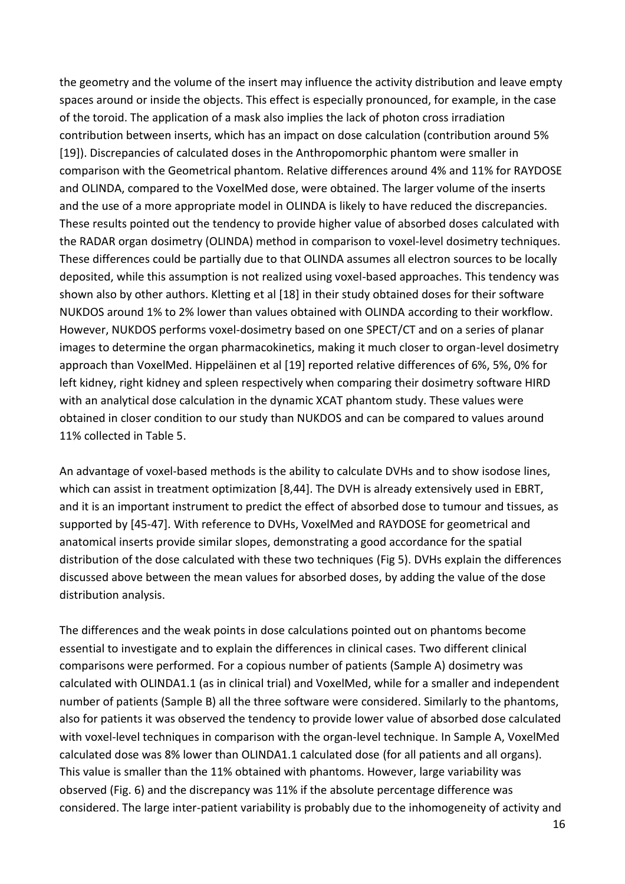the geometry and the volume of the insert may influence the activity distribution and leave empty spaces around or inside the objects. This effect is especially pronounced, for example, in the case of the toroid. The application of a mask also implies the lack of photon cross irradiation contribution between inserts, which has an impact on dose calculation (contribution around 5% [19]). Discrepancies of calculated doses in the Anthropomorphic phantom were smaller in comparison with the Geometrical phantom. Relative differences around 4% and 11% for RAYDOSE and OLINDA, compared to the VoxelMed dose, were obtained. The larger volume of the inserts and the use of a more appropriate model in OLINDA is likely to have reduced the discrepancies. These results pointed out the tendency to provide higher value of absorbed doses calculated with the RADAR organ dosimetry (OLINDA) method in comparison to voxel-level dosimetry techniques. These differences could be partially due to that OLINDA assumes all electron sources to be locally deposited, while this assumption is not realized using voxel-based approaches. This tendency was shown also by other authors. Kletting et al [18] in their study obtained doses for their software NUKDOS around 1% to 2% lower than values obtained with OLINDA according to their workflow. However, NUKDOS performs voxel-dosimetry based on one SPECT/CT and on a series of planar images to determine the organ pharmacokinetics, making it much closer to organ-level dosimetry approach than VoxelMed. Hippeläinen et al [19] reported relative differences of 6%, 5%, 0% for left kidney, right kidney and spleen respectively when comparing their dosimetry software HIRD with an analytical dose calculation in the dynamic XCAT phantom study. These values were obtained in closer condition to our study than NUKDOS and can be compared to values around 11% collected in Table 5.

An advantage of voxel-based methods is the ability to calculate DVHs and to show isodose lines, which can assist in treatment optimization [8,44]. The DVH is already extensively used in EBRT, and it is an important instrument to predict the effect of absorbed dose to tumour and tissues, as supported by [45-47]. With reference to DVHs, VoxelMed and RAYDOSE for geometrical and anatomical inserts provide similar slopes, demonstrating a good accordance for the spatial distribution of the dose calculated with these two techniques (Fig 5). DVHs explain the differences discussed above between the mean values for absorbed doses, by adding the value of the dose distribution analysis.

The differences and the weak points in dose calculations pointed out on phantoms become essential to investigate and to explain the differences in clinical cases. Two different clinical comparisons were performed. For a copious number of patients (Sample A) dosimetry was calculated with OLINDA1.1 (as in clinical trial) and VoxelMed, while for a smaller and independent number of patients (Sample B) all the three software were considered. Similarly to the phantoms, also for patients it was observed the tendency to provide lower value of absorbed dose calculated with voxel-level techniques in comparison with the organ-level technique. In Sample A, VoxelMed calculated dose was 8% lower than OLINDA1.1 calculated dose (for all patients and all organs). This value is smaller than the 11% obtained with phantoms. However, large variability was observed (Fig. 6) and the discrepancy was 11% if the absolute percentage difference was considered. The large inter-patient variability is probably due to the inhomogeneity of activity and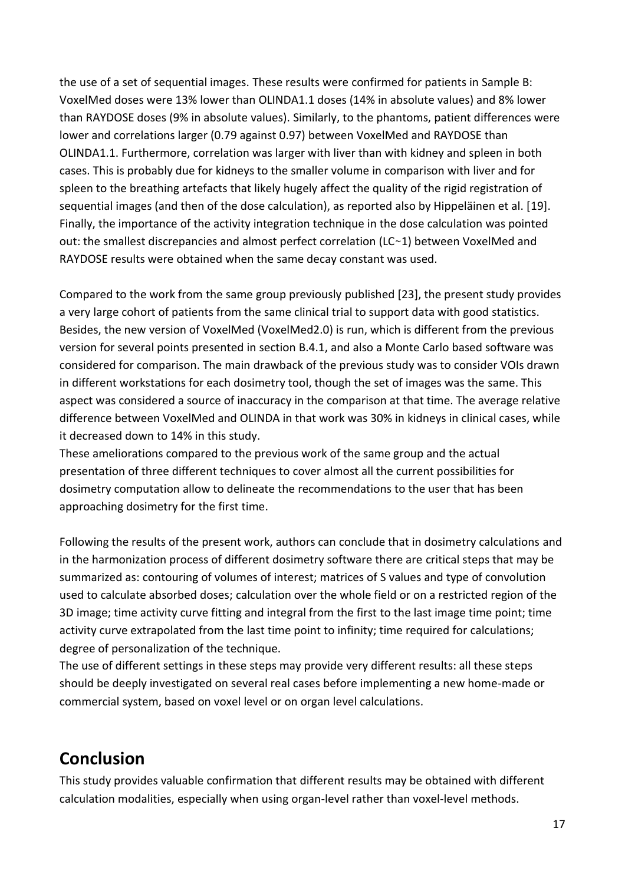the use of a set of sequential images. These results were confirmed for patients in Sample B: VoxelMed doses were 13% lower than OLINDA1.1 doses (14% in absolute values) and 8% lower than RAYDOSE doses (9% in absolute values). Similarly, to the phantoms, patient differences were lower and correlations larger (0.79 against 0.97) between VoxelMed and RAYDOSE than OLINDA1.1. Furthermore, correlation was larger with liver than with kidney and spleen in both cases. This is probably due for kidneys to the smaller volume in comparison with liver and for spleen to the breathing artefacts that likely hugely affect the quality of the rigid registration of sequential images (and then of the dose calculation), as reported also by Hippeläinen et al. [19]. Finally, the importance of the activity integration technique in the dose calculation was pointed out: the smallest discrepancies and almost perfect correlation (LC~1) between VoxelMed and RAYDOSE results were obtained when the same decay constant was used.

Compared to the work from the same group previously published [23], the present study provides a very large cohort of patients from the same clinical trial to support data with good statistics. Besides, the new version of VoxelMed (VoxelMed2.0) is run, which is different from the previous version for several points presented in section B.4.1, and also a Monte Carlo based software was considered for comparison. The main drawback of the previous study was to consider VOIs drawn in different workstations for each dosimetry tool, though the set of images was the same. This aspect was considered a source of inaccuracy in the comparison at that time. The average relative difference between VoxelMed and OLINDA in that work was 30% in kidneys in clinical cases, while it decreased down to 14% in this study.

These ameliorations compared to the previous work of the same group and the actual presentation of three different techniques to cover almost all the current possibilities for dosimetry computation allow to delineate the recommendations to the user that has been approaching dosimetry for the first time.

Following the results of the present work, authors can conclude that in dosimetry calculations and in the harmonization process of different dosimetry software there are critical steps that may be summarized as: contouring of volumes of interest; matrices of S values and type of convolution used to calculate absorbed doses; calculation over the whole field or on a restricted region of the 3D image; time activity curve fitting and integral from the first to the last image time point; time activity curve extrapolated from the last time point to infinity; time required for calculations; degree of personalization of the technique.

The use of different settings in these steps may provide very different results: all these steps should be deeply investigated on several real cases before implementing a new home-made or commercial system, based on voxel level or on organ level calculations.

# **Conclusion**

This study provides valuable confirmation that different results may be obtained with different calculation modalities, especially when using organ-level rather than voxel-level methods.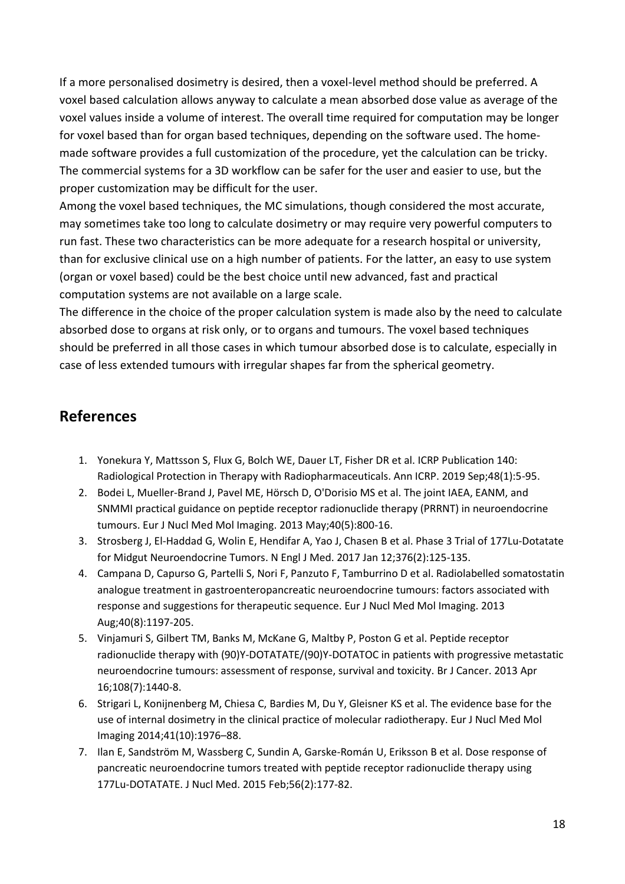If a more personalised dosimetry is desired, then a voxel-level method should be preferred. A voxel based calculation allows anyway to calculate a mean absorbed dose value as average of the voxel values inside a volume of interest. The overall time required for computation may be longer for voxel based than for organ based techniques, depending on the software used. The homemade software provides a full customization of the procedure, yet the calculation can be tricky. The commercial systems for a 3D workflow can be safer for the user and easier to use, but the proper customization may be difficult for the user.

Among the voxel based techniques, the MC simulations, though considered the most accurate, may sometimes take too long to calculate dosimetry or may require very powerful computers to run fast. These two characteristics can be more adequate for a research hospital or university, than for exclusive clinical use on a high number of patients. For the latter, an easy to use system (organ or voxel based) could be the best choice until new advanced, fast and practical computation systems are not available on a large scale.

The difference in the choice of the proper calculation system is made also by the need to calculate absorbed dose to organs at risk only, or to organs and tumours. The voxel based techniques should be preferred in all those cases in which tumour absorbed dose is to calculate, especially in case of less extended tumours with irregular shapes far from the spherical geometry.

## **References**

- 1. Yonekura Y, Mattsson S, Flux G, Bolch WE, Dauer LT, Fisher DR et al. ICRP Publication 140: Radiological Protection in Therapy with Radiopharmaceuticals. Ann ICRP. 2019 Sep;48(1):5-95.
- 2. [Bodei L,](https://www.ncbi.nlm.nih.gov/pubmed/?term=Bodei%20L%5BAuthor%5D&cauthor=true&cauthor_uid=23389427) [Mueller-Brand J,](https://www.ncbi.nlm.nih.gov/pubmed/?term=Mueller-Brand%20J%5BAuthor%5D&cauthor=true&cauthor_uid=23389427) [Pavel ME,](https://www.ncbi.nlm.nih.gov/pubmed/?term=Pavel%20ME%5BAuthor%5D&cauthor=true&cauthor_uid=23389427) [Hörsch D,](https://www.ncbi.nlm.nih.gov/pubmed/?term=H%C3%B6rsch%20D%5BAuthor%5D&cauthor=true&cauthor_uid=23389427) [O'Dorisio MS](https://www.ncbi.nlm.nih.gov/pubmed/?term=O%27Dorisio%20MS%5BAuthor%5D&cauthor=true&cauthor_uid=23389427) et al. The joint IAEA, EANM, and SNMMI practical guidance on peptide receptor radionuclide therapy (PRRNT) in neuroendocrine tumours. [Eur J Nucl Med Mol Imaging.](https://www.ncbi.nlm.nih.gov/pubmed/23389427) 2013 May;40(5):800-16.
- 3. [Strosberg J,](https://www.ncbi.nlm.nih.gov/pubmed/?term=Strosberg%20J%5BAuthor%5D&cauthor=true&cauthor_uid=28076709) [El-Haddad G,](https://www.ncbi.nlm.nih.gov/pubmed/?term=El-Haddad%20G%5BAuthor%5D&cauthor=true&cauthor_uid=28076709) [Wolin E,](https://www.ncbi.nlm.nih.gov/pubmed/?term=Wolin%20E%5BAuthor%5D&cauthor=true&cauthor_uid=28076709) [Hendifar A,](https://www.ncbi.nlm.nih.gov/pubmed/?term=Hendifar%20A%5BAuthor%5D&cauthor=true&cauthor_uid=28076709) [Yao J,](https://www.ncbi.nlm.nih.gov/pubmed/?term=Yao%20J%5BAuthor%5D&cauthor=true&cauthor_uid=28076709) [Chasen B](https://www.ncbi.nlm.nih.gov/pubmed/?term=Chasen%20B%5BAuthor%5D&cauthor=true&cauthor_uid=28076709) et al. Phase 3 Trial of 177Lu-Dotatate for Midgut Neuroendocrine Tumors[. N Engl J Med.](https://www.ncbi.nlm.nih.gov/pubmed/28076709) 2017 Jan 12;376(2):125-135.
- 4. [Campana D,](https://www.ncbi.nlm.nih.gov/pubmed/?term=Campana%20D%5BAuthor%5D&cauthor=true&cauthor_uid=23619938) [Capurso G,](https://www.ncbi.nlm.nih.gov/pubmed/?term=Capurso%20G%5BAuthor%5D&cauthor=true&cauthor_uid=23619938) [Partelli S,](https://www.ncbi.nlm.nih.gov/pubmed/?term=Partelli%20S%5BAuthor%5D&cauthor=true&cauthor_uid=23619938) [Nori F,](https://www.ncbi.nlm.nih.gov/pubmed/?term=Nori%20F%5BAuthor%5D&cauthor=true&cauthor_uid=23619938) [Panzuto F,](https://www.ncbi.nlm.nih.gov/pubmed/?term=Panzuto%20F%5BAuthor%5D&cauthor=true&cauthor_uid=23619938) [Tamburrino D](https://www.ncbi.nlm.nih.gov/pubmed/?term=Tamburrino%20D%5BAuthor%5D&cauthor=true&cauthor_uid=23619938) et al. Radiolabelled somatostatin analogue treatment in gastroenteropancreatic neuroendocrine tumours: factors associated with response and suggestions for therapeutic sequence. [Eur J Nucl Med Mol Imaging.](https://www.ncbi.nlm.nih.gov/pubmed/23619938) 2013 Aug;40(8):1197-205.
- 5. Vinjamuri S, Gilbert TM, Banks M[, McKane G,](https://www.ncbi.nlm.nih.gov/pubmed/?term=McKane%20G%5BAuthor%5D&cauthor=true&cauthor_uid=23492685) [Maltby P,](https://www.ncbi.nlm.nih.gov/pubmed/?term=Maltby%20P%5BAuthor%5D&cauthor=true&cauthor_uid=23492685) [Poston G](https://www.ncbi.nlm.nih.gov/pubmed/?term=Poston%20G%5BAuthor%5D&cauthor=true&cauthor_uid=23492685) et al. Peptide receptor radionuclide therapy with (90)Y-DOTATATE/(90)Y-DOTATOC in patients with progressive metastatic neuroendocrine tumours: assessment of response, survival and toxicity. [Br J Cancer.](https://www.ncbi.nlm.nih.gov/pubmed/23492685) 2013 Apr 16;108(7):1440-8.
- 6. Strigari L, Konijnenberg M, Chiesa C[, Bardies M,](https://www.ncbi.nlm.nih.gov/pubmed/?term=Bardies%20M%5BAuthor%5D&cauthor=true&cauthor_uid=24915892) [Du Y,](https://www.ncbi.nlm.nih.gov/pubmed/?term=Du%20Y%5BAuthor%5D&cauthor=true&cauthor_uid=24915892) [Gleisner KS](https://www.ncbi.nlm.nih.gov/pubmed/?term=Gleisner%20KS%5BAuthor%5D&cauthor=true&cauthor_uid=24915892) et al. The evidence base for the use of internal dosimetry in the clinical practice of molecular radiotherapy. Eur J Nucl Med Mol Imaging 2014;41(10):1976–88.
- 7. [Ilan E,](https://www.ncbi.nlm.nih.gov/pubmed/?term=Ilan%20E%5BAuthor%5D&cauthor=true&cauthor_uid=25593115) [Sandström M,](https://www.ncbi.nlm.nih.gov/pubmed/?term=Sandstr%C3%B6m%20M%5BAuthor%5D&cauthor=true&cauthor_uid=25593115) [Wassberg C,](https://www.ncbi.nlm.nih.gov/pubmed/?term=Wassberg%20C%5BAuthor%5D&cauthor=true&cauthor_uid=25593115) [Sundin A,](https://www.ncbi.nlm.nih.gov/pubmed/?term=Sundin%20A%5BAuthor%5D&cauthor=true&cauthor_uid=25593115) [Garske-Román U,](https://www.ncbi.nlm.nih.gov/pubmed/?term=Garske-Rom%C3%A1n%20U%5BAuthor%5D&cauthor=true&cauthor_uid=25593115) [Eriksson B](https://www.ncbi.nlm.nih.gov/pubmed/?term=Eriksson%20B%5BAuthor%5D&cauthor=true&cauthor_uid=25593115) et al. Dose response of pancreatic neuroendocrine tumors treated with peptide receptor radionuclide therapy using 177Lu-DOTATATE[. J Nucl Med.](https://www.ncbi.nlm.nih.gov/pubmed/25593115) 2015 Feb;56(2):177-82.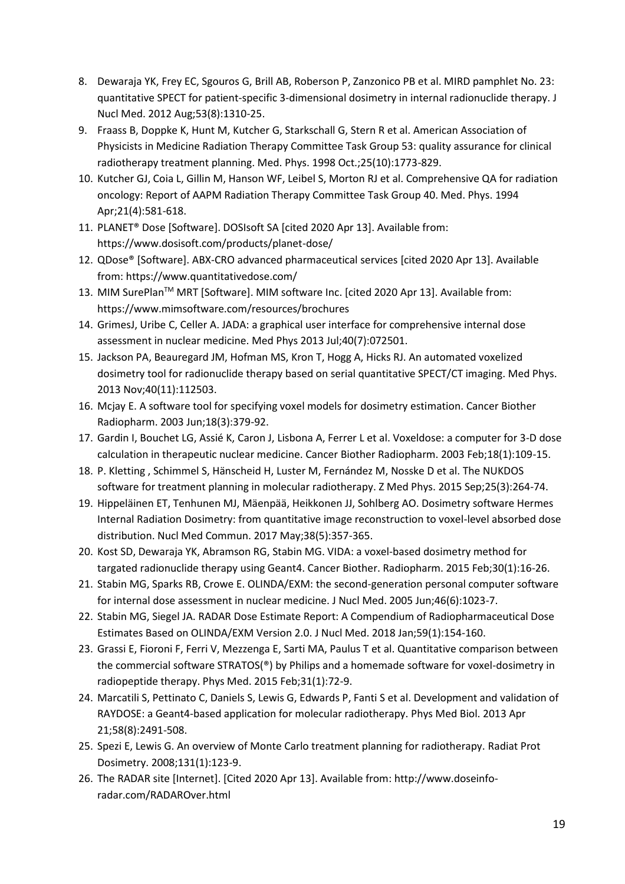- 8. Dewaraja YK, Frey EC, Sgouros G[, Brill AB,](https://www.ncbi.nlm.nih.gov/pubmed/?term=Brill%20AB%5BAuthor%5D&cauthor=true&cauthor_uid=22743252) [Roberson P,](https://www.ncbi.nlm.nih.gov/pubmed/?term=Roberson%20P%5BAuthor%5D&cauthor=true&cauthor_uid=22743252) [Zanzonico PB e](https://www.ncbi.nlm.nih.gov/pubmed/?term=Zanzonico%20PB%5BAuthor%5D&cauthor=true&cauthor_uid=22743252)t al. MIRD pamphlet No. 23: quantitative SPECT for patient-specific 3-dimensional dosimetry in internal radionuclide therapy. J Nucl Med. 2012 Aug;53(8):1310-25.
- 9. Fraass B, Doppke K, Hunt M[, Kutcher G,](https://www.ncbi.nlm.nih.gov/pubmed/?term=Kutcher%20G%5BAuthor%5D&cauthor=true&cauthor_uid=9800687) [Starkschall G,](https://www.ncbi.nlm.nih.gov/pubmed/?term=Starkschall%20G%5BAuthor%5D&cauthor=true&cauthor_uid=9800687) [Stern R](https://www.ncbi.nlm.nih.gov/pubmed/?term=Stern%20R%5BAuthor%5D&cauthor=true&cauthor_uid=9800687) et al. American Association of Physicists in Medicine Radiation Therapy Committee Task Group 53: quality assurance for clinical radiotherapy treatment planning. Med. Phys. 1998 Oct.;25(10):1773-829.
- 10. Kutcher GJ, Coia L, Gillin M[, Hanson WF,](https://www.ncbi.nlm.nih.gov/pubmed/?term=Hanson%20WF%5BAuthor%5D&cauthor=true&cauthor_uid=8058027) [Leibel S,](https://www.ncbi.nlm.nih.gov/pubmed/?term=Leibel%20S%5BAuthor%5D&cauthor=true&cauthor_uid=8058027) [Morton RJ e](https://www.ncbi.nlm.nih.gov/pubmed/?term=Morton%20RJ%5BAuthor%5D&cauthor=true&cauthor_uid=8058027)t al. Comprehensive QA for radiation oncology: Report of AAPM Radiation Therapy Committee Task Group 40. Med. Phys. 1994 Apr;21(4):581-618.
- 11. PLANET® Dose [Software]. DOSIsoft SA [cited 2020 Apr 13]. Available from: <https://www.dosisoft.com/products/planet-dose/>
- 12. [QDose®](https://www.philips.com/a-w/imalytics/specialized-modules/dosimetry.html) [Software]. ABX-CRO advanced pharmaceutical services [cited 2020 Apr 13]. Available from: https://www.quantitativedose.com/
- 13. MIM SurePlan<sup>™</sup> MRT [Software]. MIM software Inc. [cited 2020 Apr 13]. Available from: https://www.mimsoftware.com/resources/brochures
- 14. GrimesJ, Uribe C, Celler A. JADA: a graphical user interface for comprehensive internal dose assessment in nuclear medicine. Med Phys 2013 Jul;40(7):072501.
- 15. Jackson PA, Beauregard JM, Hofman MS, [Kron T,](https://www.ncbi.nlm.nih.gov/pubmed/?term=Kron%20T%5BAuthor%5D&cauthor=true&cauthor_uid=24320462) [Hogg A,](https://www.ncbi.nlm.nih.gov/pubmed/?term=Hogg%20A%5BAuthor%5D&cauthor=true&cauthor_uid=24320462) [Hicks RJ.](https://www.ncbi.nlm.nih.gov/pubmed/?term=Hicks%20RJ%5BAuthor%5D&cauthor=true&cauthor_uid=24320462) An automated voxelized dosimetry tool for radionuclide therapy based on serial quantitative SPECT/CT imaging. Med Phys. 2013 Nov;40(11):112503.
- 16. Mcjay E. A software tool for specifying voxel models for dosimetry estimation. Cancer Biother Radiopharm. 2003 Jun;18(3):379-92.
- 17. Gardin I, Bouchet LG, Assié K, [Caron J,](https://www.ncbi.nlm.nih.gov/pubmed/?term=Caron%20J%5BAuthor%5D&cauthor=true&cauthor_uid=12674095) [Lisbona A,](https://www.ncbi.nlm.nih.gov/pubmed/?term=Lisbona%20A%5BAuthor%5D&cauthor=true&cauthor_uid=12674095) [Ferrer L](https://www.ncbi.nlm.nih.gov/pubmed/?term=Ferrer%20L%5BAuthor%5D&cauthor=true&cauthor_uid=12674095) et al. Voxeldose: a computer for 3-D dose calculation in therapeutic nuclear medicine. Cancer Biother Radiopharm. 2003 Feb;18(1):109-15.
- 18. P. Kletting , Schimmel S, Hänscheid H, [Luster M,](https://www.ncbi.nlm.nih.gov/pubmed/?term=Luster%20M%5BAuthor%5D&cauthor=true&cauthor_uid=25791740) [Fernández M,](https://www.ncbi.nlm.nih.gov/pubmed/?term=Fern%C3%A1ndez%20M%5BAuthor%5D&cauthor=true&cauthor_uid=25791740) [Nosske D](https://www.ncbi.nlm.nih.gov/pubmed/?term=Nosske%20D%5BAuthor%5D&cauthor=true&cauthor_uid=25791740) et al. The NUKDOS software for treatment planning in molecular radiotherapy. Z Med Phys. 2015 Sep;25(3):264-74.
- 19. Hippeläinen ET, Tenhunen MJ, Mäenpää, [Heikkonen JJ,](https://www.ncbi.nlm.nih.gov/pubmed/?term=Heikkonen%20JJ%5BAuthor%5D&cauthor=true&cauthor_uid=28338529) [Sohlberg AO.](https://www.ncbi.nlm.nih.gov/pubmed/?term=Sohlberg%20AO%5BAuthor%5D&cauthor=true&cauthor_uid=28338529) [Dosimetry software Hermes](http://journals.lww.com/nuclearmedicinecomm/Abstract/2017/05000/Dosimetry_software_Hermes_Internal_Radiation.1.aspx)  [Internal Radiation Dosimetry: from quantitative image reconstruction to voxel-level absorbed dose](http://journals.lww.com/nuclearmedicinecomm/Abstract/2017/05000/Dosimetry_software_Hermes_Internal_Radiation.1.aspx)  [distribution.](http://journals.lww.com/nuclearmedicinecomm/Abstract/2017/05000/Dosimetry_software_Hermes_Internal_Radiation.1.aspx) Nucl Med Commun. 2017 May;38(5):357-365.
- 20. Kost SD, Dewaraja YK, Abramson RG, [Stabin MG.](https://www.ncbi.nlm.nih.gov/pubmed/?term=Stabin%20MG%5BAuthor%5D&cauthor=true&cauthor_uid=25594357) VIDA: a voxel-based dosimetry method for targated radionuclide therapy using Geant4. Cancer Biother. Radiopharm. 2015 Feb;30(1):16-26.
- 21. Stabin MG, Sparks RB, Crowe E. OLINDA/EXM: the second-generation personal computer software for internal dose assessment in nuclear medicine. J Nucl Med. 2005 Jun;46(6):1023-7.
- 22. [Stabin MG,](https://www.ncbi.nlm.nih.gov/pubmed/?term=Stabin%20MG%5BAuthor%5D&cauthor=true&cauthor_uid=28887400) [Siegel JA.](https://www.ncbi.nlm.nih.gov/pubmed/?term=Siegel%20JA%5BAuthor%5D&cauthor=true&cauthor_uid=28887400) RADAR Dose Estimate Report: A Compendium of Radiopharmaceutical Dose Estimates Based on OLINDA/EXM Version 2.0[. J Nucl Med.](https://www.ncbi.nlm.nih.gov/pubmed/28887400) 2018 Jan;59(1):154-160.
- 23. Grassi E, Fioroni F, Ferri V[, Mezzenga E,](https://www.ncbi.nlm.nih.gov/pubmed/?term=Mezzenga%20E%5BAuthor%5D&cauthor=true&cauthor_uid=25457430) [Sarti MA,](https://www.ncbi.nlm.nih.gov/pubmed/?term=Sarti%20MA%5BAuthor%5D&cauthor=true&cauthor_uid=25457430) [Paulus T](https://www.ncbi.nlm.nih.gov/pubmed/?term=Paulus%20T%5BAuthor%5D&cauthor=true&cauthor_uid=25457430) et al. Quantitative comparison between the commercial software STRATOS(®) by Philips and a homemade software for voxel-dosimetry in radiopeptide therapy. Phys Med. 2015 Feb;31(1):72-9.
- 24. Marcatili S, Pettinato C, Daniels S[, Lewis G,](https://www.ncbi.nlm.nih.gov/pubmed/?term=Lewis%20G%5BAuthor%5D&cauthor=true&cauthor_uid=23514870) [Edwards P,](https://www.ncbi.nlm.nih.gov/pubmed/?term=Edwards%20P%5BAuthor%5D&cauthor=true&cauthor_uid=23514870) [Fanti S](https://www.ncbi.nlm.nih.gov/pubmed/?term=Fanti%20S%5BAuthor%5D&cauthor=true&cauthor_uid=23514870) et al. [Development and validation of](https://www.ncbi.nlm.nih.gov/pubmed/23514870)  [RAYDOSE: a Geant4-based application for molecular radiotherapy.](https://www.ncbi.nlm.nih.gov/pubmed/23514870) Phys Med Biol. 2013 Apr 21;58(8):2491-508.
- 25. Spezi E, Lewis G. An overview of Monte Carlo treatment planning for radiotherapy. [Radiat Prot](https://www.ncbi.nlm.nih.gov/pubmed/18930928)  [Dosimetry.](https://www.ncbi.nlm.nih.gov/pubmed/18930928) 2008;131(1):123-9.
- 26. The RADAR site [Internet]. [Cited 2020 Apr 13]. Available from: [http://www.doseinfo](http://www.doseinfo-radar.com/RADAROver.html)[radar.com/RADAROver.html](http://www.doseinfo-radar.com/RADAROver.html)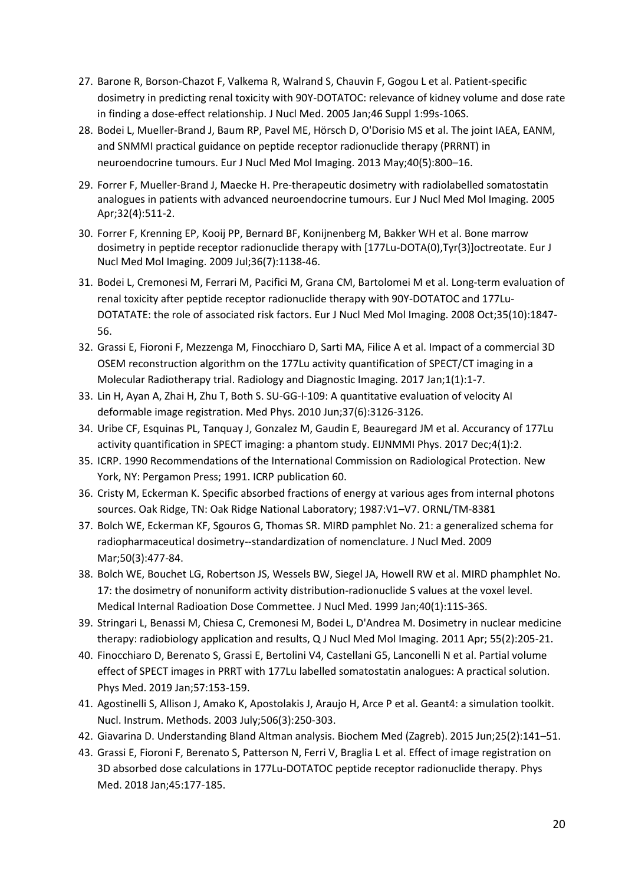- 27. Barone R, Borson-Chazot F, Valkema R, [Walrand S,](https://www.ncbi.nlm.nih.gov/pubmed/?term=Walrand%20S%5BAuthor%5D&cauthor=true&cauthor_uid=15653658) [Chauvin F,](https://www.ncbi.nlm.nih.gov/pubmed/?term=Chauvin%20F%5BAuthor%5D&cauthor=true&cauthor_uid=15653658) [Gogou L](https://www.ncbi.nlm.nih.gov/pubmed/?term=Gogou%20L%5BAuthor%5D&cauthor=true&cauthor_uid=15653658) et al. Patient-specific dosimetry in predicting renal toxicity with 90Y-DOTATOC: relevance of kidney volume and dose rate in finding a dose-effect relationship. J Nucl Med. 2005 Jan;46 Suppl 1:99s-106S.
- 28. Bodei L, Mueller-Brand J, Baum RP, [Pavel ME,](https://www.ncbi.nlm.nih.gov/pubmed/?term=Pavel%20ME%5BAuthor%5D&cauthor=true&cauthor_uid=23389427) [Hörsch D,](https://www.ncbi.nlm.nih.gov/pubmed/?term=H%C3%B6rsch%20D%5BAuthor%5D&cauthor=true&cauthor_uid=23389427) [O'Dorisio MS e](https://www.ncbi.nlm.nih.gov/pubmed/?term=O%27Dorisio%20MS%5BAuthor%5D&cauthor=true&cauthor_uid=23389427)t al. The joint IAEA, EANM, and SNMMI practical guidance on peptide receptor radionuclide therapy (PRRNT) in neuroendocrine tumours. Eur J Nucl Med Mol Imaging. 2013 May;40(5):800–16.
- 29. Forrer F, Mueller-Brand J, Maecke H. Pre-therapeutic dosimetry with radiolabelled somatostatin analogues in patients with advanced neuroendocrine tumours[. Eur J Nucl Med Mol Imaging.](https://www.ncbi.nlm.nih.gov/pubmed/?term=pretherapeutic+forrer+2005) 2005 Apr;32(4):511-2.
- 30. [Forrer F,](https://www.ncbi.nlm.nih.gov/pubmed/?term=Forrer%20F%5BAuthor%5D&cauthor=true&cauthor_uid=19247653) [Krenning EP,](https://www.ncbi.nlm.nih.gov/pubmed/?term=Krenning%20EP%5BAuthor%5D&cauthor=true&cauthor_uid=19247653) [Kooij PP,](https://www.ncbi.nlm.nih.gov/pubmed/?term=Kooij%20PP%5BAuthor%5D&cauthor=true&cauthor_uid=19247653) [Bernard BF,](https://www.ncbi.nlm.nih.gov/pubmed/?term=Bernard%20BF%5BAuthor%5D&cauthor=true&cauthor_uid=19247653) [Konijnenberg M,](https://www.ncbi.nlm.nih.gov/pubmed/?term=Konijnenberg%20M%5BAuthor%5D&cauthor=true&cauthor_uid=19247653) [Bakker WH](https://www.ncbi.nlm.nih.gov/pubmed/?term=Bakker%20WH%5BAuthor%5D&cauthor=true&cauthor_uid=19247653) et al. Bone marrow dosimetry in peptide receptor radionuclide therapy with [177Lu-DOTA(0),Tyr(3)]octreotate. [Eur J](https://www.ncbi.nlm.nih.gov/pubmed/?term=krenning+2009+forrer)  [Nucl Med Mol Imaging.](https://www.ncbi.nlm.nih.gov/pubmed/?term=krenning+2009+forrer) 2009 Jul;36(7):1138-46.
- 31. [Bodei L,](https://www.ncbi.nlm.nih.gov/pubmed/?term=Bodei%20L%5BAuthor%5D&cauthor=true&cauthor_uid=18427807) [Cremonesi M,](https://www.ncbi.nlm.nih.gov/pubmed/?term=Cremonesi%20M%5BAuthor%5D&cauthor=true&cauthor_uid=18427807) [Ferrari M,](https://www.ncbi.nlm.nih.gov/pubmed/?term=Ferrari%20M%5BAuthor%5D&cauthor=true&cauthor_uid=18427807) [Pacifici M,](https://www.ncbi.nlm.nih.gov/pubmed/?term=Pacifici%20M%5BAuthor%5D&cauthor=true&cauthor_uid=18427807) [Grana CM,](https://www.ncbi.nlm.nih.gov/pubmed/?term=Grana%20CM%5BAuthor%5D&cauthor=true&cauthor_uid=18427807) [Bartolomei M](https://www.ncbi.nlm.nih.gov/pubmed/?term=Bartolomei%20M%5BAuthor%5D&cauthor=true&cauthor_uid=18427807) et al. Long-term evaluation of renal toxicity after peptide receptor radionuclide therapy with 90Y-DOTATOC and 177Lu-DOTATATE: the role of associated risk factors[. Eur J Nucl Med Mol Imaging.](https://www.ncbi.nlm.nih.gov/pubmed/?term=bodei++cremonesi+2008) 2008 Oct;35(10):1847- 56.
- 32. Grassi E, Fioroni F, Mezzenga M, Finocchiaro D, Sarti MA, Filice A et al. Impact of a commercial 3D OSEM reconstruction algorithm on the 177Lu activity quantification of SPECT/CT imaging in a Molecular Radiotherapy trial. Radiology and Diagnostic Imaging. 2017 Jan;1(1):1-7.
- 33. Lin H, Ayan A, Zhai H, Zhu T, Both S. SU-GG-I-109: A quantitative evaluation of velocity AI deformable image registration. Med Phys. 2010 Jun;37(6):3126-3126.
- 34. Uribe CF, Esquinas PL, Tanquay J[, Gonzalez M,](https://www.ncbi.nlm.nih.gov/pubmed/?term=Gonzalez%20M%5BAuthor%5D&cauthor=true&cauthor_uid=28063068) [Gaudin E,](https://www.ncbi.nlm.nih.gov/pubmed/?term=Gaudin%20E%5BAuthor%5D&cauthor=true&cauthor_uid=28063068) [Beauregard JM](https://www.ncbi.nlm.nih.gov/pubmed/?term=Beauregard%20JM%5BAuthor%5D&cauthor=true&cauthor_uid=28063068) et al. Accurancy of 177Lu activity quantification in SPECT imaging: a phantom study. EIJNMMI Phys. 2017 Dec;4(1):2.
- 35. ICRP. 1990 Recommendations of the International Commission on Radiological Protection. New York, NY: Pergamon Press; 1991. ICRP publication 60.
- 36. Cristy M, Eckerman K. Specific absorbed fractions of energy at various ages from internal photons sources. Oak Ridge, TN: Oak Ridge National Laboratory; 1987:V1–V7. ORNL/TM-8381
- 37. Bolch WE, Eckerman KF, Sgouros G, Thomas SR. MIRD pamphlet No. 21: a generalized schema for radiopharmaceutical dosimetry--standardization of nomenclature. J Nucl Med. 2009 Mar;50(3):477-84.
- 38. Bolch WE, Bouchet LG, Robertson JS, [Wessels BW,](https://www.ncbi.nlm.nih.gov/pubmed/?term=Wessels%20BW%5BAuthor%5D&cauthor=true&cauthor_uid=9935083) [Siegel JA,](https://www.ncbi.nlm.nih.gov/pubmed/?term=Siegel%20JA%5BAuthor%5D&cauthor=true&cauthor_uid=9935083) [Howell RW](https://www.ncbi.nlm.nih.gov/pubmed/?term=Howell%20RW%5BAuthor%5D&cauthor=true&cauthor_uid=9935083) et al. MIRD phamphlet No. 17: the dosimetry of nonuniform activity distribution-radionuclide S values at the voxel level. Medical Internal Radioation Dose Commettee. J Nucl Med. 1999 Jan;40(1):11S-36S.
- 39. Stringari L, Benassi M, Chiesa C, [Cremonesi M,](https://www.ncbi.nlm.nih.gov/pubmed/?term=Cremonesi%20M%5BAuthor%5D&cauthor=true&cauthor_uid=21386791) [Bodei L,](https://www.ncbi.nlm.nih.gov/pubmed/?term=Bodei%20L%5BAuthor%5D&cauthor=true&cauthor_uid=21386791) [D'Andrea M.](https://www.ncbi.nlm.nih.gov/pubmed/?term=D%27Andrea%20M%5BAuthor%5D&cauthor=true&cauthor_uid=21386791) Dosimetry in nuclear medicine therapy: radiobiology application and results, Q J Nucl Med Mol Imaging. 2011 Apr; 55(2):205-21.
- 40. Finocchiaro D, Berenato S, Grassi E, [Bertolini V4](https://www.ncbi.nlm.nih.gov/pubmed/?term=Bertolini%20V%5BAuthor%5D&cauthor=true&cauthor_uid=30738519), [Castellani G5](https://www.ncbi.nlm.nih.gov/pubmed/?term=Castellani%20G%5BAuthor%5D&cauthor=true&cauthor_uid=30738519), [Lanconelli N](https://www.ncbi.nlm.nih.gov/pubmed/?term=Lanconelli%20N%5BAuthor%5D&cauthor=true&cauthor_uid=30738519) et al. Partial volume effect of SPECT images in PRRT with 177Lu labelled somatostatin analogues: A practical solution. Phys Med. 2019 Jan;57:153-159.
- 41. Agostinelli S, Allison J, Amako K, Apostolakis J, Araujo H, Arce P et al. Geant4: a simulation toolkit. Nucl. Instrum. Methods. 2003 July;506(3):250-303.
- 42. Giavarina D. Understanding Bland Altman analysis. Biochem Med (Zagreb). 2015 Jun;25(2):141–51.
- 43. Grassi E, Fioroni F, Berenato S, [Patterson N,](https://www.ncbi.nlm.nih.gov/pubmed/?term=Patterson%20N%5BAuthor%5D&cauthor=true&cauthor_uid=29472084) [Ferri V,](https://www.ncbi.nlm.nih.gov/pubmed/?term=Ferri%20V%5BAuthor%5D&cauthor=true&cauthor_uid=29472084) [Braglia L](https://www.ncbi.nlm.nih.gov/pubmed/?term=Braglia%20L%5BAuthor%5D&cauthor=true&cauthor_uid=29472084) et al. Effect of image registration on 3D absorbed dose calculations in 177Lu-DOTATOC peptide receptor radionuclide therapy. Phys Med. 2018 Jan;45:177-185.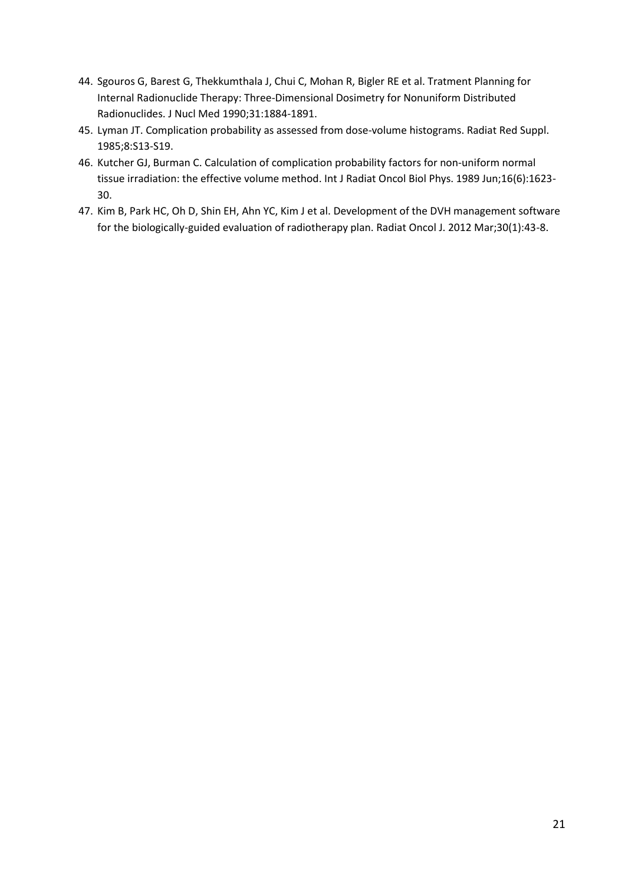- 44. Sgouros G, Barest G, Thekkumthala J, [Chui C,](https://www.ncbi.nlm.nih.gov/pubmed/?term=Chui%20C%5BAuthor%5D&cauthor=true&cauthor_uid=2231006) [Mohan R,](https://www.ncbi.nlm.nih.gov/pubmed/?term=Mohan%20R%5BAuthor%5D&cauthor=true&cauthor_uid=2231006) [Bigler RE](https://www.ncbi.nlm.nih.gov/pubmed/?term=Bigler%20RE%5BAuthor%5D&cauthor=true&cauthor_uid=2231006) et al. Tratment Planning for Internal Radionuclide Therapy: Three-Dimensional Dosimetry for Nonuniform Distributed Radionuclides. J Nucl Med 1990;31:1884-1891.
- 45. Lyman JT. Complication probability as assessed from dose-volume histograms. Radiat Red Suppl. 1985;8:S13-S19.
- 46. Kutcher GJ, Burman C. Calculation of complication probability factors for non-uniform normal tissue irradiation: the effective volume method. Int J Radiat Oncol Biol Phys. 1989 Jun;16(6):1623- 30.
- 47. Kim B, Park HC, Oh D, [Shin EH,](https://www.ncbi.nlm.nih.gov/pubmed/?term=Shin%20EH%5BAuthor%5D&cauthor=true&cauthor_uid=23120743) [Ahn YC,](https://www.ncbi.nlm.nih.gov/pubmed/?term=Ahn%20YC%5BAuthor%5D&cauthor=true&cauthor_uid=23120743) [Kim J](https://www.ncbi.nlm.nih.gov/pubmed/?term=Kim%20J%5BAuthor%5D&cauthor=true&cauthor_uid=23120743) et al. Development of the DVH management software for the biologically-guided evaluation of radiotherapy plan. Radiat Oncol J. 2012 Mar;30(1):43-8.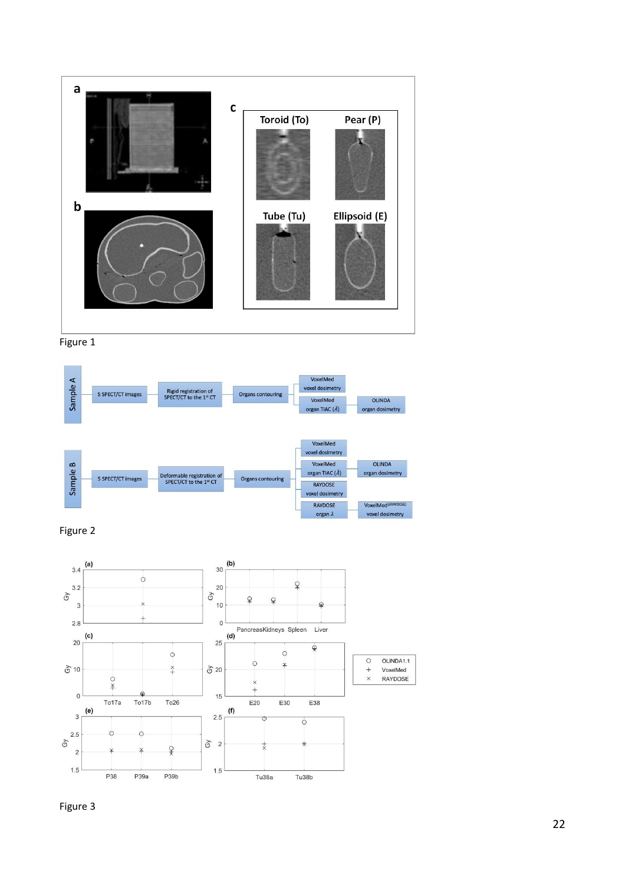









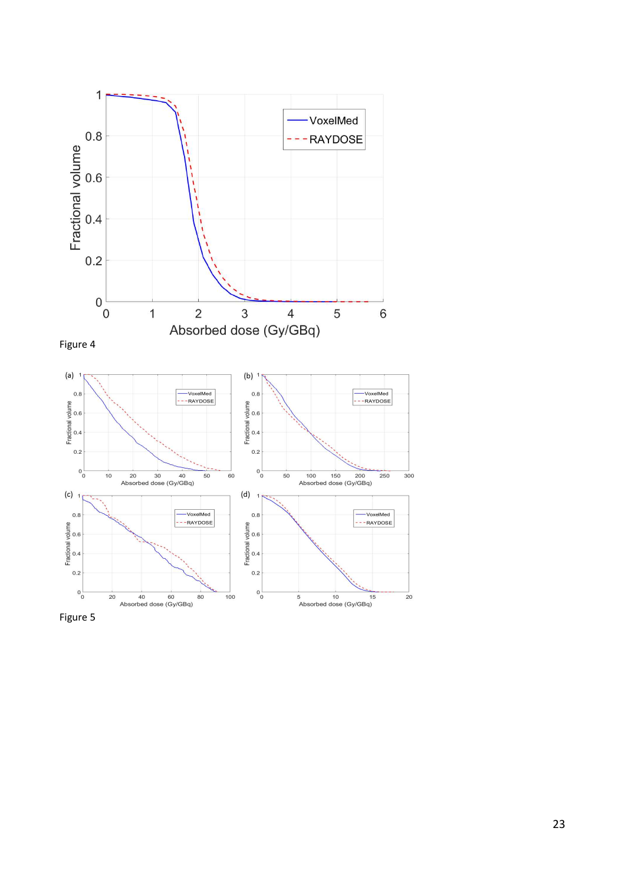

Figure 5